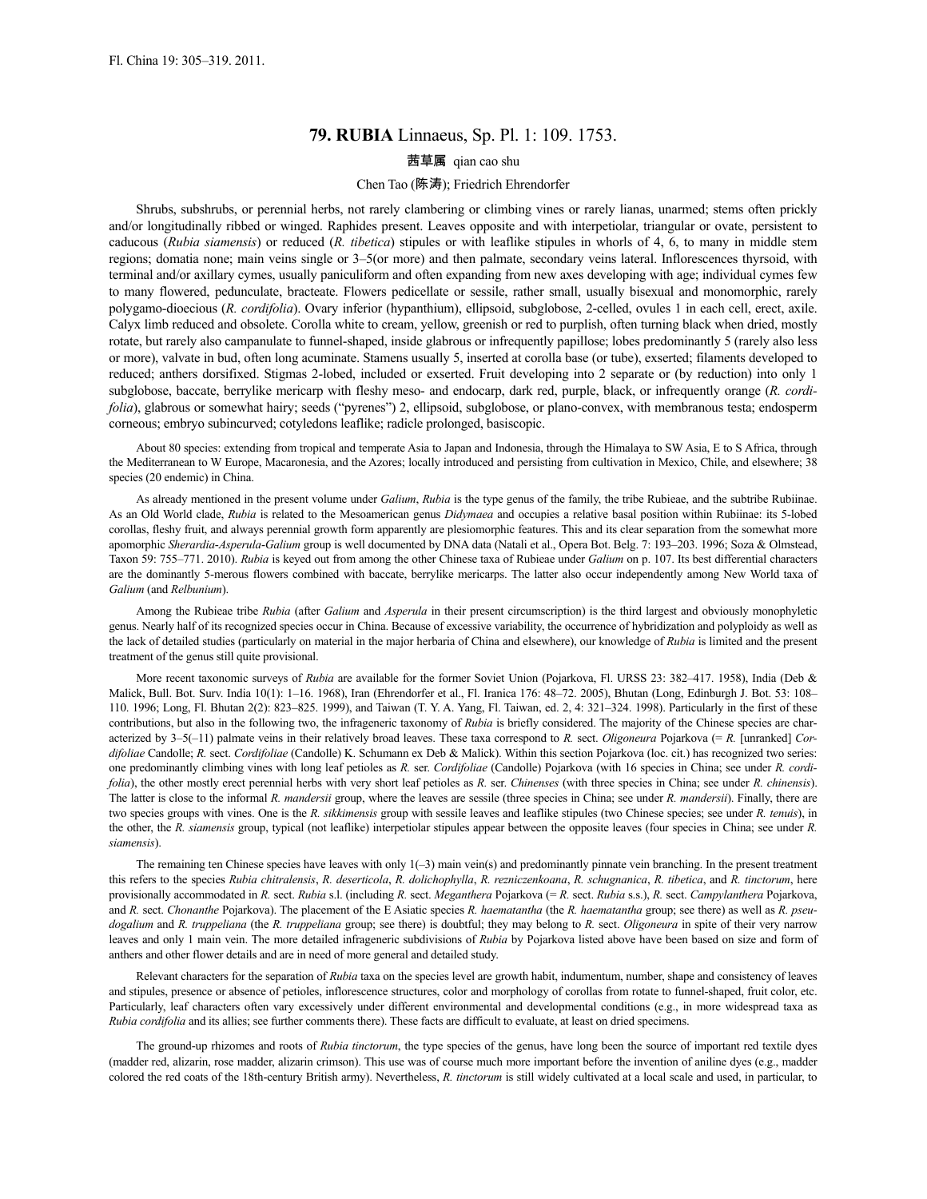# **79. RUBIA** Linnaeus, Sp. Pl. 1: 109. 1753.

# 茜草属 qian cao shu

# Chen Tao (陈涛); Friedrich Ehrendorfer

Shrubs, subshrubs, or perennial herbs, not rarely clambering or climbing vines or rarely lianas, unarmed; stems often prickly and/or longitudinally ribbed or winged. Raphides present. Leaves opposite and with interpetiolar, triangular or ovate, persistent to caducous (*Rubia siamensis*) or reduced (*R. tibetica*) stipules or with leaflike stipules in whorls of 4, 6, to many in middle stem regions; domatia none; main veins single or 3–5(or more) and then palmate, secondary veins lateral. Inflorescences thyrsoid, with terminal and/or axillary cymes, usually paniculiform and often expanding from new axes developing with age; individual cymes few to many flowered, pedunculate, bracteate. Flowers pedicellate or sessile, rather small, usually bisexual and monomorphic, rarely polygamo-dioecious (*R. cordifolia*). Ovary inferior (hypanthium), ellipsoid, subglobose, 2-celled, ovules 1 in each cell, erect, axile. Calyx limb reduced and obsolete. Corolla white to cream, yellow, greenish or red to purplish, often turning black when dried, mostly rotate, but rarely also campanulate to funnel-shaped, inside glabrous or infrequently papillose; lobes predominantly 5 (rarely also less or more), valvate in bud, often long acuminate. Stamens usually 5, inserted at corolla base (or tube), exserted; filaments developed to reduced; anthers dorsifixed. Stigmas 2-lobed, included or exserted. Fruit developing into 2 separate or (by reduction) into only 1 subglobose, baccate, berrylike mericarp with fleshy meso- and endocarp, dark red, purple, black, or infrequently orange (*R. cordifolia*), glabrous or somewhat hairy; seeds ("pyrenes") 2, ellipsoid, subglobose, or plano-convex, with membranous testa; endosperm corneous; embryo subincurved; cotyledons leaflike; radicle prolonged, basiscopic.

About 80 species: extending from tropical and temperate Asia to Japan and Indonesia, through the Himalaya to SW Asia, E to S Africa, through the Mediterranean to W Europe, Macaronesia, and the Azores; locally introduced and persisting from cultivation in Mexico, Chile, and elsewhere; 38 species (20 endemic) in China.

As already mentioned in the present volume under *Galium*, *Rubia* is the type genus of the family, the tribe Rubieae, and the subtribe Rubiinae. As an Old World clade, *Rubia* is related to the Mesoamerican genus *Didymaea* and occupies a relative basal position within Rubiinae: its 5-lobed corollas, fleshy fruit, and always perennial growth form apparently are plesiomorphic features. This and its clear separation from the somewhat more apomorphic *Sherardia*-*Asperula*-*Galium* group is well documented by DNA data (Natali et al., Opera Bot. Belg. 7: 193–203. 1996; Soza & Olmstead, Taxon 59: 755–771. 2010). *Rubia* is keyed out from among the other Chinese taxa of Rubieae under *Galium* on p. 107. Its best differential characters are the dominantly 5-merous flowers combined with baccate, berrylike mericarps. The latter also occur independently among New World taxa of *Galium* (and *Relbunium*).

Among the Rubieae tribe *Rubia* (after *Galium* and *Asperula* in their present circumscription) is the third largest and obviously monophyletic genus. Nearly half of its recognized species occur in China. Because of excessive variability, the occurrence of hybridization and polyploidy as well as the lack of detailed studies (particularly on material in the major herbaria of China and elsewhere), our knowledge of *Rubia* is limited and the present treatment of the genus still quite provisional.

More recent taxonomic surveys of *Rubia* are available for the former Soviet Union (Pojarkova, Fl. URSS 23: 382-417. 1958), India (Deb & Malick, Bull. Bot. Surv. India 10(1): 1–16. 1968), Iran (Ehrendorfer et al., Fl. Iranica 176: 48–72. 2005), Bhutan (Long, Edinburgh J. Bot. 53: 108– 110. 1996; Long, Fl. Bhutan 2(2): 823–825. 1999), and Taiwan (T. Y. A. Yang, Fl. Taiwan, ed. 2, 4: 321–324. 1998). Particularly in the first of these contributions, but also in the following two, the infrageneric taxonomy of *Rubia* is briefly considered. The majority of the Chinese species are characterized by 3-5(-11) palmate veins in their relatively broad leaves. These taxa correspond to *R*. sect. *Oligoneura* Pojarkova (= *R*. [unranked] *Cordifoliae* Candolle; *R.* sect. *Cordifoliae* (Candolle) K. Schumann ex Deb & Malick). Within this section Pojarkova (loc. cit.) has recognized two series: one predominantly climbing vines with long leaf petioles as *R.* ser. *Cordifoliae* (Candolle) Pojarkova (with 16 species in China; see under *R. cordifolia*), the other mostly erect perennial herbs with very short leaf petioles as *R.* ser. *Chinenses* (with three species in China; see under *R. chinensis*). The latter is close to the informal *R. mandersii* group, where the leaves are sessile (three species in China; see under *R. mandersii*). Finally, there are two species groups with vines. One is the *R. sikkimensis* group with sessile leaves and leaflike stipules (two Chinese species; see under *R. tenuis*), in the other, the *R. siamensis* group, typical (not leaflike) interpetiolar stipules appear between the opposite leaves (four species in China; see under *R. siamensis*).

The remaining ten Chinese species have leaves with only 1(–3) main vein(s) and predominantly pinnate vein branching. In the present treatment this refers to the species *Rubia chitralensis*, *R. deserticola*, *R. dolichophylla*, *R. rezniczenkoana*, *R. schugnanica*, *R. tibetica*, and *R. tinctorum*, here provisionally accommodated in *R.* sect. *Rubia* s.l. (including *R.* sect. *Meganthera* Pojarkova (= *R.* sect. *Rubia* s.s.), *R.* sect. *Campylanthera* Pojarkova, and *R.* sect. *Chonanthe* Pojarkova). The placement of the E Asiatic species *R. haematantha* (the *R. haematantha* group; see there) as well as *R. pseudogalium* and *R. truppeliana* (the *R. truppeliana* group; see there) is doubtful; they may belong to *R.* sect. *Oligoneura* in spite of their very narrow leaves and only 1 main vein. The more detailed infrageneric subdivisions of *Rubia* by Pojarkova listed above have been based on size and form of anthers and other flower details and are in need of more general and detailed study.

Relevant characters for the separation of *Rubia* taxa on the species level are growth habit, indumentum, number, shape and consistency of leaves and stipules, presence or absence of petioles, inflorescence structures, color and morphology of corollas from rotate to funnel-shaped, fruit color, etc. Particularly, leaf characters often vary excessively under different environmental and developmental conditions (e.g., in more widespread taxa as *Rubia cordifolia* and its allies; see further comments there). These facts are difficult to evaluate, at least on dried specimens.

The ground-up rhizomes and roots of *Rubia tinctorum*, the type species of the genus, have long been the source of important red textile dyes (madder red, alizarin, rose madder, alizarin crimson). This use was of course much more important before the invention of aniline dyes (e.g., madder colored the red coats of the 18th-century British army). Nevertheless, *R. tinctorum* is still widely cultivated at a local scale and used, in particular, to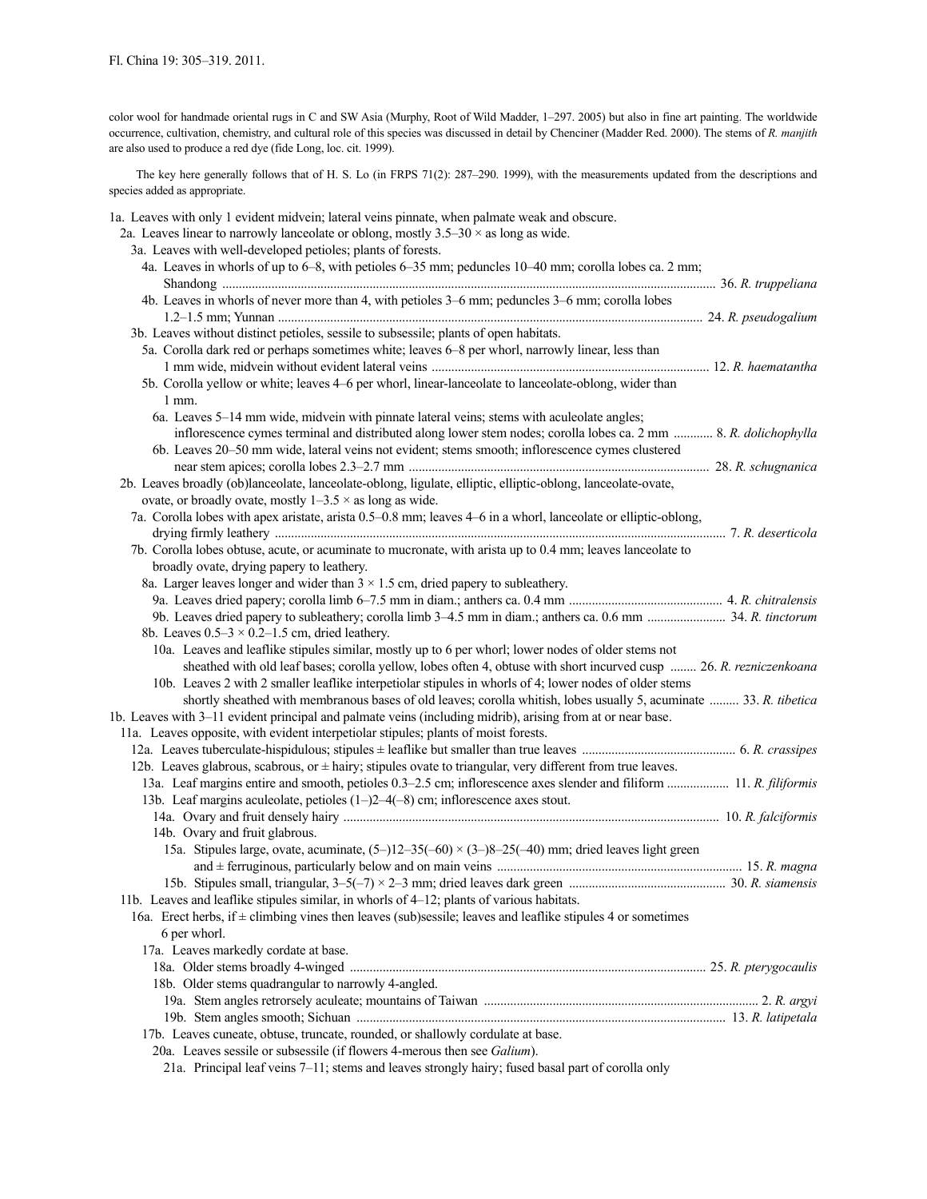color wool for handmade oriental rugs in C and SW Asia (Murphy, Root of Wild Madder, 1–297. 2005) but also in fine art painting. The worldwide occurrence, cultivation, chemistry, and cultural role of this species was discussed in detail by Chenciner (Madder Red. 2000). The stems of *R. manjith* are also used to produce a red dye (fide Long, loc. cit. 1999).

The key here generally follows that of H. S. Lo (in FRPS 71(2): 287–290. 1999), with the measurements updated from the descriptions and species added as appropriate.

1a. Leaves with only 1 evident midvein; lateral veins pinnate, when palmate weak and obscure. 2a. Leaves linear to narrowly lanceolate or oblong, mostly  $3.5-30 \times$  as long as wide. 3a. Leaves with well-developed petioles; plants of forests. 4a. Leaves in whorls of up to 6–8, with petioles 6–35 mm; peduncles 10–40 mm; corolla lobes ca. 2 mm; Shandong ....................................................................................................................................................... 36. *R. truppeliana* 4b. Leaves in whorls of never more than 4, with petioles 3–6 mm; peduncles 3–6 mm; corolla lobes 1.2–1.5 mm; Yunnan .................................................................................................................................. 24. *R. pseudogalium* 3b. Leaves without distinct petioles, sessile to subsessile; plants of open habitats. 5a. Corolla dark red or perhaps sometimes white; leaves 6–8 per whorl, narrowly linear, less than 1 mm wide, midvein without evident lateral veins ..................................................................................... 12. *R. haematantha* 5b. Corolla yellow or white; leaves 4–6 per whorl, linear-lanceolate to lanceolate-oblong, wider than 1 mm. 6a. Leaves 5–14 mm wide, midvein with pinnate lateral veins; stems with aculeolate angles; inflorescence cymes terminal and distributed along lower stem nodes; corolla lobes ca. 2 mm ............ 8. *R. dolichophylla* 6b. Leaves 20–50 mm wide, lateral veins not evident; stems smooth; inflorescence cymes clustered near stem apices; corolla lobes 2.3–2.7 mm ............................................................................................ 28. *R. schugnanica* 2b. Leaves broadly (ob)lanceolate, lanceolate-oblong, ligulate, elliptic, elliptic-oblong, lanceolate-ovate, ovate, or broadly ovate, mostly  $1-3.5 \times$  as long as wide. 7a. Corolla lobes with apex aristate, arista 0.5–0.8 mm; leaves 4–6 in a whorl, lanceolate or elliptic-oblong, drying firmly leathery .......................................................................................................................................... 7. *R. deserticola* 7b. Corolla lobes obtuse, acute, or acuminate to mucronate, with arista up to 0.4 mm; leaves lanceolate to broadly ovate, drying papery to leathery. 8a. Larger leaves longer and wider than  $3 \times 1.5$  cm, dried papery to subleathery. 9a. Leaves dried papery; corolla limb 6–7.5 mm in diam.; anthers ca. 0.4 mm ............................................... 4. *R. chitralensis* 9b. Leaves dried papery to subleathery; corolla limb 3–4.5 mm in diam.; anthers ca. 0.6 mm ........................ 34. *R. tinctorum* 8b. Leaves  $0.5-3 \times 0.2-1.5$  cm, dried leathery. 10a. Leaves and leaflike stipules similar, mostly up to 6 per whorl; lower nodes of older stems not sheathed with old leaf bases; corolla yellow, lobes often 4, obtuse with short incurved cusp ........ 26. *R. rezniczenkoana* 10b. Leaves 2 with 2 smaller leaflike interpetiolar stipules in whorls of 4; lower nodes of older stems shortly sheathed with membranous bases of old leaves; corolla whitish, lobes usually 5, acuminate ......... 33. *R. tibetica* 1b. Leaves with 3–11 evident principal and palmate veins (including midrib), arising from at or near base. 11a. Leaves opposite, with evident interpetiolar stipules; plants of moist forests. 12a. Leaves tuberculate-hispidulous; stipules ± leaflike but smaller than true leaves ............................................... 6. *R. crassipes* 12b. Leaves glabrous, scabrous, or  $\pm$  hairy; stipules ovate to triangular, very different from true leaves. 13a. Leaf margins entire and smooth, petioles 0.3–2.5 cm; inflorescence axes slender and filiform ................... 11. *R. filiformis* 13b. Leaf margins aculeolate, petioles (1–)2–4(–8) cm; inflorescence axes stout. 14a. Ovary and fruit densely hairy ................................................................................................................... 10. *R. falciformis* 14b. Ovary and fruit glabrous. 15a. Stipules large, ovate, acuminate,  $(5-12-35(-60) \times (3-8-25(-40)$  mm; dried leaves light green and ± ferruginous, particularly below and on main veins ........................................................................... 15. *R. magna* 15b. Stipules small, triangular, 3–5(–7) × 2–3 mm; dried leaves dark green ................................................ 30. *R. siamensis* 11b. Leaves and leaflike stipules similar, in whorls of 4–12; plants of various habitats. 16a. Erect herbs, if  $\pm$  climbing vines then leaves (sub)sessile; leaves and leaflike stipules 4 or sometimes 6 per whorl. 17a. Leaves markedly cordate at base. 18a. Older stems broadly 4-winged ............................................................................................................. 25. *R. pterygocaulis* 18b. Older stems quadrangular to narrowly 4-angled. 19a. Stem angles retrorsely aculeate; mountains of Taiwan .................................................................................... 2. *R. argyi* 19b. Stem angles smooth; Sichuan ................................................................................................................. 13. *R. latipetala* 17b. Leaves cuneate, obtuse, truncate, rounded, or shallowly cordulate at base. 20a. Leaves sessile or subsessile (if flowers 4-merous then see *Galium*).

21a. Principal leaf veins 7–11; stems and leaves strongly hairy; fused basal part of corolla only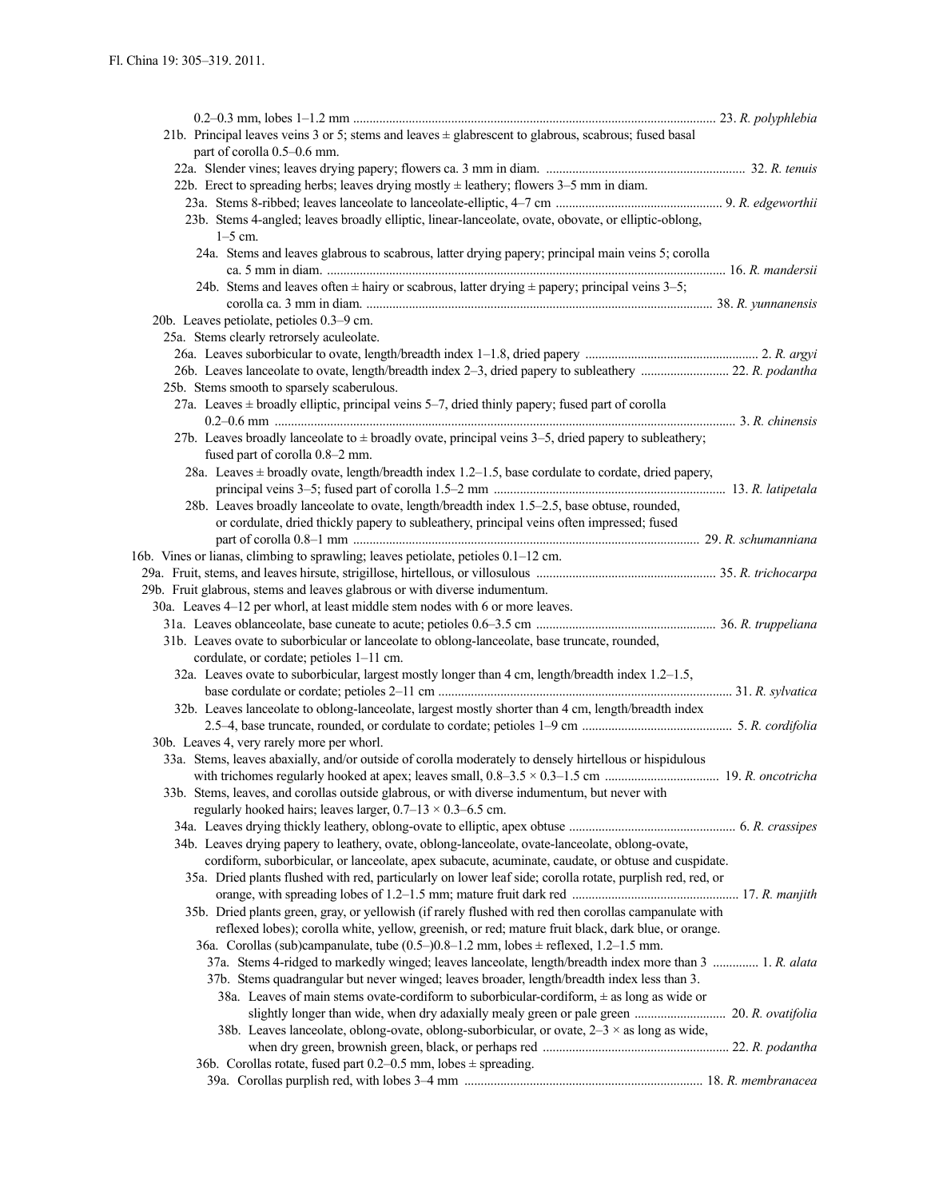| 21b. Principal leaves veins 3 or 5; stems and leaves $\pm$ glabrescent to glabrous, scabrous; fused basal    |  |
|--------------------------------------------------------------------------------------------------------------|--|
| part of corolla 0.5–0.6 mm.                                                                                  |  |
|                                                                                                              |  |
| 22b. Erect to spreading herbs; leaves drying mostly $\pm$ leathery; flowers 3–5 mm in diam.                  |  |
|                                                                                                              |  |
| 23b. Stems 4-angled; leaves broadly elliptic, linear-lanceolate, ovate, obovate, or elliptic-oblong,         |  |
| $1-5$ cm.                                                                                                    |  |
| 24a. Stems and leaves glabrous to scabrous, latter drying papery; principal main veins 5; corolla            |  |
| 24b. Stems and leaves often $\pm$ hairy or scabrous, latter drying $\pm$ papery; principal veins 3–5;        |  |
|                                                                                                              |  |
| 20b. Leaves petiolate, petioles 0.3-9 cm.                                                                    |  |
| 25a. Stems clearly retrorsely aculeolate.                                                                    |  |
|                                                                                                              |  |
|                                                                                                              |  |
| 25b. Stems smooth to sparsely scaberulous.                                                                   |  |
| 27a. Leaves $\pm$ broadly elliptic, principal veins 5–7, dried thinly papery; fused part of corolla          |  |
|                                                                                                              |  |
| 27b. Leaves broadly lanceolate to $\pm$ broadly ovate, principal veins 3–5, dried papery to subleathery;     |  |
| fused part of corolla 0.8-2 mm.                                                                              |  |
| 28a. Leaves $\pm$ broadly ovate, length/breadth index 1.2–1.5, base cordulate to cordate, dried papery,      |  |
|                                                                                                              |  |
| 28b. Leaves broadly lanceolate to ovate, length/breadth index 1.5-2.5, base obtuse, rounded,                 |  |
| or cordulate, dried thickly papery to subleathery, principal veins often impressed; fused                    |  |
|                                                                                                              |  |
| 16b. Vines or lianas, climbing to sprawling; leaves petiolate, petioles 0.1–12 cm.                           |  |
|                                                                                                              |  |
| 29b. Fruit glabrous, stems and leaves glabrous or with diverse indumentum.                                   |  |
| 30a. Leaves 4-12 per whorl, at least middle stem nodes with 6 or more leaves.                                |  |
|                                                                                                              |  |
| 31b. Leaves ovate to suborbicular or lanceolate to oblong-lanceolate, base truncate, rounded,                |  |
| cordulate, or cordate; petioles 1-11 cm.                                                                     |  |
| 32a. Leaves ovate to suborbicular, largest mostly longer than $4 \text{ cm}$ , length/breadth index 1.2–1.5, |  |
|                                                                                                              |  |
| 32b. Leaves lanceolate to oblong-lanceolate, largest mostly shorter than 4 cm, length/breadth index          |  |
|                                                                                                              |  |
| 30b. Leaves 4, very rarely more per whorl.                                                                   |  |
| 33a. Stems, leaves abaxially, and/or outside of corolla moderately to densely hirtellous or hispidulous      |  |
|                                                                                                              |  |
| 33b. Stems, leaves, and corollas outside glabrous, or with diverse indumentum, but never with                |  |
| regularly hooked hairs; leaves larger, $0.7-13 \times 0.3-6.5$ cm.                                           |  |
|                                                                                                              |  |
| 34b. Leaves drying papery to leathery, ovate, oblong-lanceolate, ovate-lanceolate, oblong-ovate,             |  |
| cordiform, suborbicular, or lanceolate, apex subacute, acuminate, caudate, or obtuse and cuspidate.          |  |
| 35a. Dried plants flushed with red, particularly on lower leaf side; corolla rotate, purplish red, red, or   |  |
| 35b. Dried plants green, gray, or yellowish (if rarely flushed with red then corollas campanulate with       |  |
| reflexed lobes); corolla white, yellow, greenish, or red; mature fruit black, dark blue, or orange.          |  |
| 36a. Corollas (sub)campanulate, tube $(0.5-)0.8-1.2$ mm, lobes $\pm$ reflexed, 1.2-1.5 mm.                   |  |
| 37a. Stems 4-ridged to markedly winged; leaves lanceolate, length/breadth index more than 3  1. R. alata     |  |
| 37b. Stems quadrangular but never winged; leaves broader, length/breadth index less than 3.                  |  |
| 38a. Leaves of main stems ovate-cordiform to suborbicular-cordiform, $\pm$ as long as wide or                |  |
|                                                                                                              |  |
| 38b. Leaves lanceolate, oblong-ovate, oblong-suborbicular, or ovate, $2-3 \times$ as long as wide,           |  |
|                                                                                                              |  |
| 36b. Corollas rotate, fused part $0.2-0.5$ mm, lobes $\pm$ spreading.                                        |  |
|                                                                                                              |  |
|                                                                                                              |  |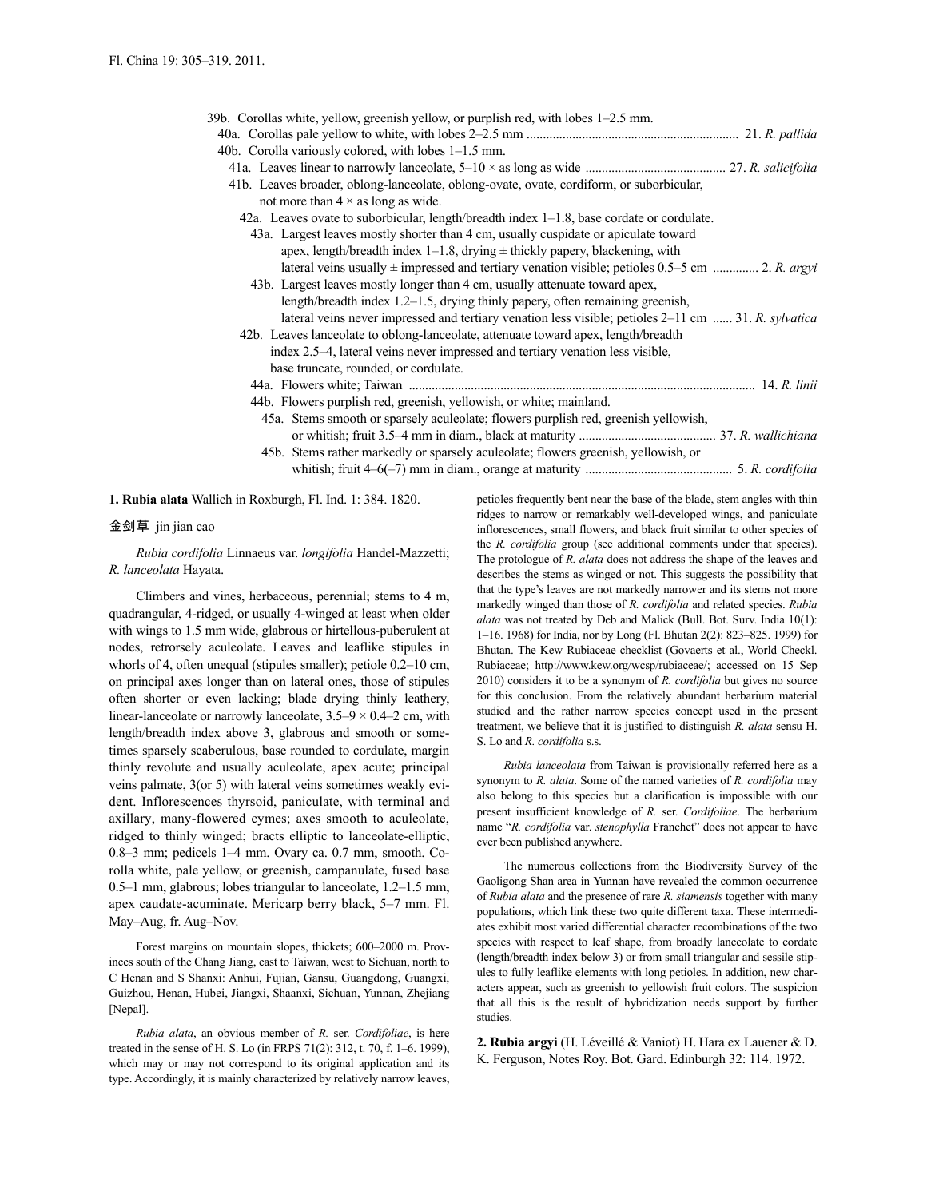| 39b. Corollas white, yellow, greenish yellow, or purplish red, with lobes 1-2.5 mm.                  |  |
|------------------------------------------------------------------------------------------------------|--|
|                                                                                                      |  |
| 40b. Corolla variously colored, with lobes $1-1.5$ mm.                                               |  |
|                                                                                                      |  |
| 41b. Leaves broader, oblong-lanceolate, oblong-ovate, ovate, cordiform, or suborbicular,             |  |
| not more than $4 \times$ as long as wide.                                                            |  |
| 42a. Leaves ovate to suborbicular, length/breadth index 1–1.8, base cordate or cordulate.            |  |
| 43a. Largest leaves mostly shorter than 4 cm, usually cuspidate or apiculate toward                  |  |
| apex, length/breadth index $1-1.8$ , drying $\pm$ thickly papery, blackening, with                   |  |
| lateral veins usually $\pm$ impressed and tertiary venation visible; petioles 0.5–5 cm  2. R. argyi  |  |
| 43b. Largest leaves mostly longer than 4 cm, usually attenuate toward apex,                          |  |
| length/breadth index $1.2-1.5$ , drying thinly papery, often remaining greenish,                     |  |
| lateral veins never impressed and tertiary venation less visible; petioles 2–11 cm  31. R. sylvatica |  |
| 42b. Leaves lanceolate to oblong-lanceolate, attenuate toward apex, length/breadth                   |  |
| index 2.5–4, lateral veins never impressed and tertiary venation less visible,                       |  |
| base truncate, rounded, or cordulate.                                                                |  |
|                                                                                                      |  |
| 44b. Flowers purplish red, greenish, yellowish, or white; mainland.                                  |  |
| 45a. Stems smooth or sparsely aculeolate; flowers purplish red, greenish yellowish,                  |  |
|                                                                                                      |  |
| 45b. Stems rather markedly or sparsely aculeolate; flowers greenish, yellowish, or                   |  |
|                                                                                                      |  |

**1. Rubia alata** Wallich in Roxburgh, Fl. Ind. 1: 384. 1820.

# 金剑草 jin jian cao

*Rubia cordifolia* Linnaeus var. *longifolia* Handel-Mazzetti; *R. lanceolata* Hayata.

Climbers and vines, herbaceous, perennial; stems to 4 m, quadrangular, 4-ridged, or usually 4-winged at least when older with wings to 1.5 mm wide, glabrous or hirtellous-puberulent at nodes, retrorsely aculeolate. Leaves and leaflike stipules in whorls of 4, often unequal (stipules smaller); petiole 0.2–10 cm, on principal axes longer than on lateral ones, those of stipules often shorter or even lacking; blade drying thinly leathery, linear-lanceolate or narrowly lanceolate,  $3.5-9 \times 0.4-2$  cm, with length/breadth index above 3, glabrous and smooth or sometimes sparsely scaberulous, base rounded to cordulate, margin thinly revolute and usually aculeolate, apex acute; principal veins palmate, 3(or 5) with lateral veins sometimes weakly evident. Inflorescences thyrsoid, paniculate, with terminal and axillary, many-flowered cymes; axes smooth to aculeolate, ridged to thinly winged; bracts elliptic to lanceolate-elliptic, 0.8–3 mm; pedicels 1–4 mm. Ovary ca. 0.7 mm, smooth. Corolla white, pale yellow, or greenish, campanulate, fused base 0.5–1 mm, glabrous; lobes triangular to lanceolate, 1.2–1.5 mm, apex caudate-acuminate. Mericarp berry black, 5–7 mm. Fl. May–Aug, fr. Aug–Nov.

Forest margins on mountain slopes, thickets; 600–2000 m. Provinces south of the Chang Jiang, east to Taiwan, west to Sichuan, north to C Henan and S Shanxi: Anhui, Fujian, Gansu, Guangdong, Guangxi, Guizhou, Henan, Hubei, Jiangxi, Shaanxi, Sichuan, Yunnan, Zhejiang [Nepal].

*Rubia alata*, an obvious member of *R.* ser. *Cordifoliae*, is here treated in the sense of H. S. Lo (in FRPS 71(2): 312, t. 70, f. 1–6. 1999), which may or may not correspond to its original application and its type. Accordingly, it is mainly characterized by relatively narrow leaves, petioles frequently bent near the base of the blade, stem angles with thin ridges to narrow or remarkably well-developed wings, and paniculate inflorescences, small flowers, and black fruit similar to other species of the *R. cordifolia* group (see additional comments under that species). The protologue of *R. alata* does not address the shape of the leaves and describes the stems as winged or not. This suggests the possibility that that the type's leaves are not markedly narrower and its stems not more markedly winged than those of *R. cordifolia* and related species. *Rubia alata* was not treated by Deb and Malick (Bull. Bot. Surv. India 10(1): 1–16. 1968) for India, nor by Long (Fl. Bhutan 2(2): 823–825. 1999) for Bhutan. The Kew Rubiaceae checklist (Govaerts et al., World Checkl. Rubiaceae; http://www.kew.org/wcsp/rubiaceae/; accessed on 15 Sep 2010) considers it to be a synonym of *R. cordifolia* but gives no source for this conclusion. From the relatively abundant herbarium material studied and the rather narrow species concept used in the present treatment, we believe that it is justified to distinguish *R. alata* sensu H. S. Lo and *R. cordifolia* s.s.

*Rubia lanceolata* from Taiwan is provisionally referred here as a synonym to *R. alata*. Some of the named varieties of *R. cordifolia* may also belong to this species but a clarification is impossible with our present insufficient knowledge of *R.* ser. *Cordifoliae*. The herbarium name "*R. cordifolia* var. *stenophylla* Franchet" does not appear to have ever been published anywhere.

The numerous collections from the Biodiversity Survey of the Gaoligong Shan area in Yunnan have revealed the common occurrence of *Rubia alata* and the presence of rare *R. siamensis* together with many populations, which link these two quite different taxa. These intermediates exhibit most varied differential character recombinations of the two species with respect to leaf shape, from broadly lanceolate to cordate (length/breadth index below 3) or from small triangular and sessile stipules to fully leaflike elements with long petioles. In addition, new characters appear, such as greenish to yellowish fruit colors. The suspicion that all this is the result of hybridization needs support by further studies.

**2. Rubia argyi** (H. Léveillé & Vaniot) H. Hara ex Lauener & D. K. Ferguson, Notes Roy. Bot. Gard. Edinburgh 32: 114. 1972.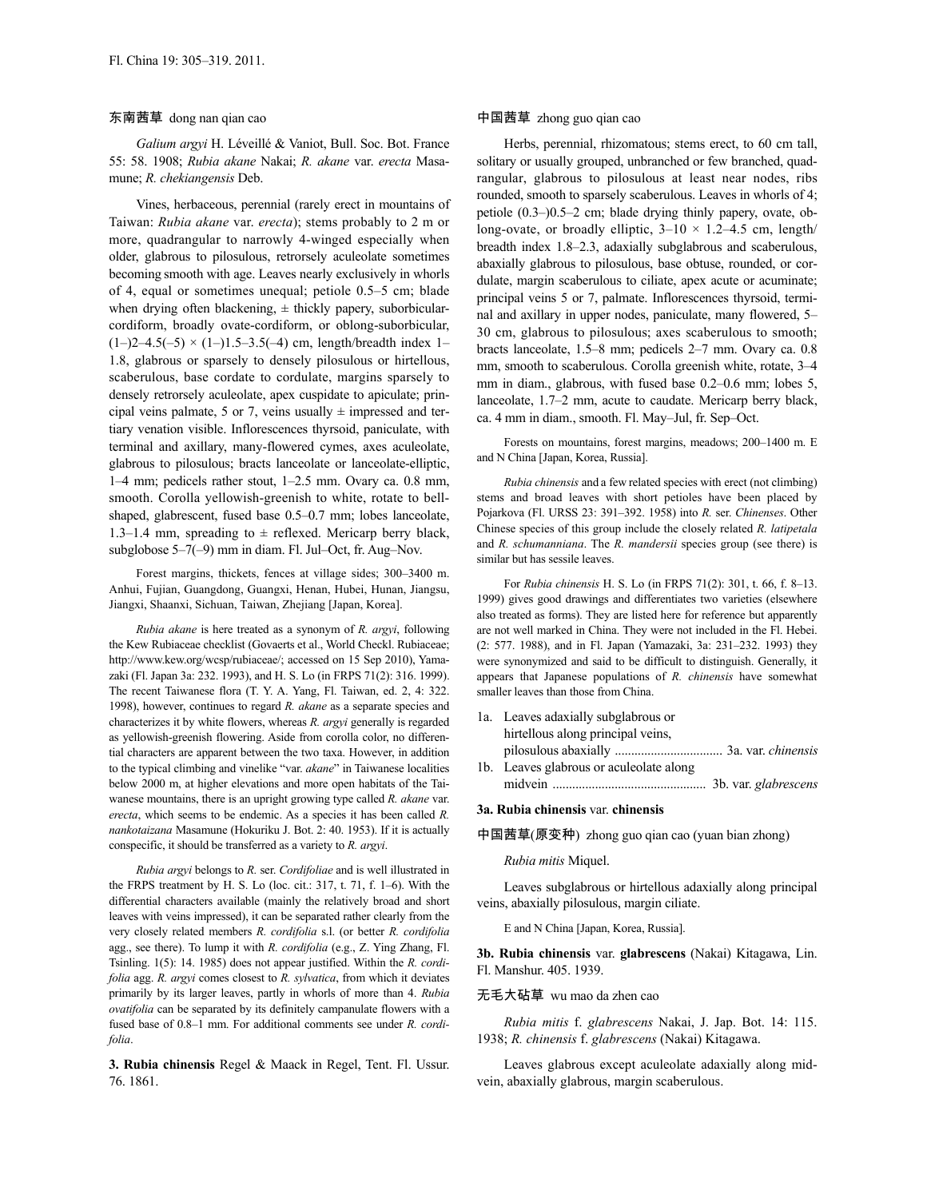### 东南茜草 dong nan qian cao

*Galium argyi* H. Léveillé & Vaniot, Bull. Soc. Bot. France 55: 58. 1908; *Rubia akane* Nakai; *R. akane* var. *erecta* Masamune; *R. chekiangensis* Deb.

Vines, herbaceous, perennial (rarely erect in mountains of Taiwan: *Rubia akane* var. *erecta*); stems probably to 2 m or more, quadrangular to narrowly 4-winged especially when older, glabrous to pilosulous, retrorsely aculeolate sometimes becoming smooth with age. Leaves nearly exclusively in whorls of 4, equal or sometimes unequal; petiole 0.5–5 cm; blade when drying often blackening,  $\pm$  thickly papery, suborbicularcordiform, broadly ovate-cordiform, or oblong-suborbicular,  $(1–)2–4.5(-5) \times (1–)1.5–3.5(-4)$  cm, length/breadth index 1– 1.8, glabrous or sparsely to densely pilosulous or hirtellous, scaberulous, base cordate to cordulate, margins sparsely to densely retrorsely aculeolate, apex cuspidate to apiculate; principal veins palmate, 5 or 7, veins usually  $\pm$  impressed and tertiary venation visible. Inflorescences thyrsoid, paniculate, with terminal and axillary, many-flowered cymes, axes aculeolate, glabrous to pilosulous; bracts lanceolate or lanceolate-elliptic, 1–4 mm; pedicels rather stout, 1–2.5 mm. Ovary ca. 0.8 mm, smooth. Corolla yellowish-greenish to white, rotate to bellshaped, glabrescent, fused base 0.5–0.7 mm; lobes lanceolate, 1.3–1.4 mm, spreading to  $\pm$  reflexed. Mericarp berry black, subglobose 5–7(–9) mm in diam. Fl. Jul–Oct, fr. Aug–Nov.

Forest margins, thickets, fences at village sides; 300–3400 m. Anhui, Fujian, Guangdong, Guangxi, Henan, Hubei, Hunan, Jiangsu, Jiangxi, Shaanxi, Sichuan, Taiwan, Zhejiang [Japan, Korea].

*Rubia akane* is here treated as a synonym of *R. argyi*, following the Kew Rubiaceae checklist (Govaerts et al., World Checkl. Rubiaceae; http://www.kew.org/wcsp/rubiaceae/; accessed on 15 Sep 2010), Yamazaki (Fl. Japan 3a: 232. 1993), and H. S. Lo (in FRPS 71(2): 316. 1999). The recent Taiwanese flora (T. Y. A. Yang, Fl. Taiwan, ed. 2, 4: 322. 1998), however, continues to regard *R. akane* as a separate species and characterizes it by white flowers, whereas *R. argyi* generally is regarded as yellowish-greenish flowering. Aside from corolla color, no differential characters are apparent between the two taxa. However, in addition to the typical climbing and vinelike "var. *akane*" in Taiwanese localities below 2000 m, at higher elevations and more open habitats of the Taiwanese mountains, there is an upright growing type called *R. akane* var. *erecta*, which seems to be endemic. As a species it has been called *R. nankotaizana* Masamune (Hokuriku J. Bot. 2: 40. 1953). If it is actually conspecific, it should be transferred as a variety to *R. argyi*.

*Rubia argyi* belongs to *R.* ser. *Cordifoliae* and is well illustrated in the FRPS treatment by H. S. Lo (loc. cit.: 317, t. 71, f. 1–6). With the differential characters available (mainly the relatively broad and short leaves with veins impressed), it can be separated rather clearly from the very closely related members *R. cordifolia* s.l. (or better *R. cordifolia* agg., see there). To lump it with *R. cordifolia* (e.g., Z. Ying Zhang, Fl. Tsinling. 1(5): 14. 1985) does not appear justified. Within the *R. cordifolia* agg. *R. argyi* comes closest to *R. sylvatica*, from which it deviates primarily by its larger leaves, partly in whorls of more than 4. *Rubia ovatifolia* can be separated by its definitely campanulate flowers with a fused base of 0.8–1 mm. For additional comments see under *R. cordifolia*.

**3. Rubia chinensis** Regel & Maack in Regel, Tent. Fl. Ussur. 76. 1861.

# 中国茜草 zhong guo qian cao

Herbs, perennial, rhizomatous; stems erect, to 60 cm tall, solitary or usually grouped, unbranched or few branched, quadrangular, glabrous to pilosulous at least near nodes, ribs rounded, smooth to sparsely scaberulous. Leaves in whorls of 4; petiole (0.3–)0.5–2 cm; blade drying thinly papery, ovate, oblong-ovate, or broadly elliptic,  $3-10 \times 1.2-4.5$  cm, length/ breadth index 1.8–2.3, adaxially subglabrous and scaberulous, abaxially glabrous to pilosulous, base obtuse, rounded, or cordulate, margin scaberulous to ciliate, apex acute or acuminate; principal veins 5 or 7, palmate. Inflorescences thyrsoid, terminal and axillary in upper nodes, paniculate, many flowered, 5– 30 cm, glabrous to pilosulous; axes scaberulous to smooth; bracts lanceolate, 1.5–8 mm; pedicels 2–7 mm. Ovary ca. 0.8 mm, smooth to scaberulous. Corolla greenish white, rotate, 3–4 mm in diam., glabrous, with fused base 0.2–0.6 mm; lobes 5, lanceolate, 1.7–2 mm, acute to caudate. Mericarp berry black, ca. 4 mm in diam., smooth. Fl. May–Jul, fr. Sep–Oct.

Forests on mountains, forest margins, meadows; 200–1400 m. E and N China [Japan, Korea, Russia].

*Rubia chinensis* and a few related species with erect (not climbing) stems and broad leaves with short petioles have been placed by Pojarkova (Fl. URSS 23: 391–392. 1958) into *R.* ser. *Chinenses*. Other Chinese species of this group include the closely related *R. latipetala* and *R. schumanniana*. The *R. mandersii* species group (see there) is similar but has sessile leaves.

For *Rubia chinensis* H. S. Lo (in FRPS 71(2): 301, t. 66, f. 8–13. 1999) gives good drawings and differentiates two varieties (elsewhere also treated as forms). They are listed here for reference but apparently are not well marked in China. They were not included in the Fl. Hebei. (2: 577. 1988), and in Fl. Japan (Yamazaki, 3a: 231–232. 1993) they were synonymized and said to be difficult to distinguish. Generally, it appears that Japanese populations of *R. chinensis* have somewhat smaller leaves than those from China.

- 1a. Leaves adaxially subglabrous or hirtellous along principal veins, pilosulous abaxially ................................. 3a. var. *chinensis*
- 1b. Leaves glabrous or aculeolate along midvein ............................................... 3b. var. *glabrescens*

### **3a. Rubia chinensis** var. **chinensis**

中国茜草(原变种) zhong guo qian cao (yuan bian zhong)

#### *Rubia mitis* Miquel.

Leaves subglabrous or hirtellous adaxially along principal veins, abaxially pilosulous, margin ciliate.

E and N China [Japan, Korea, Russia].

**3b. Rubia chinensis** var. **glabrescens** (Nakai) Kitagawa, Lin. Fl. Manshur. 405. 1939.

# 无毛大砧草 wu mao da zhen cao

*Rubia mitis* f. *glabrescens* Nakai, J. Jap. Bot. 14: 115. 1938; *R. chinensis* f. *glabrescens* (Nakai) Kitagawa.

Leaves glabrous except aculeolate adaxially along midvein, abaxially glabrous, margin scaberulous.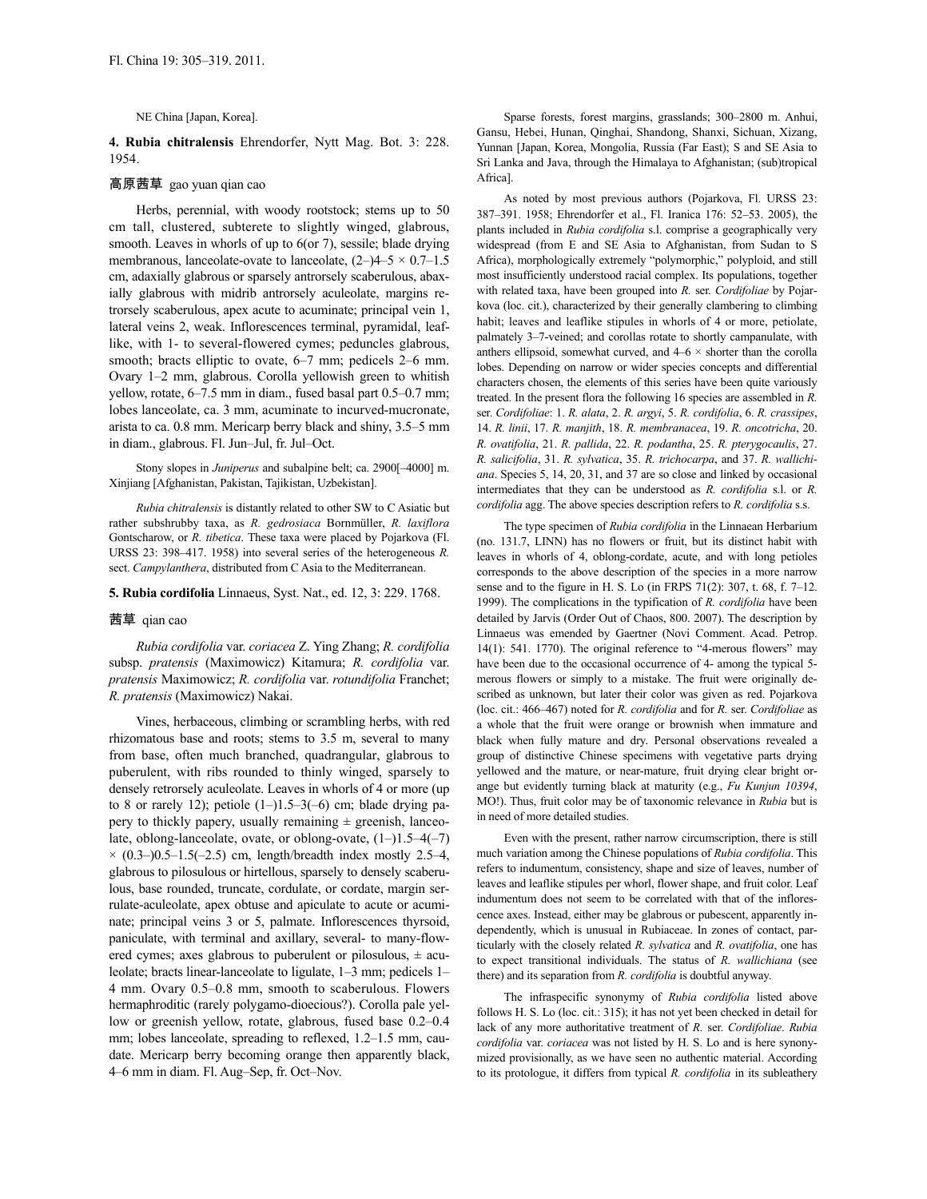NE China [Japan, Korea].

**4. Rubia chitralensis** Ehrendorfer, Nytt Mag. Bot. 3: 228. 1954.

# 高原茜草 gao yuan qian cao

Herbs, perennial, with woody rootstock; stems up to 50 cm tall, clustered, subterete to slightly winged, glabrous, smooth. Leaves in whorls of up to 6(or 7), sessile; blade drying membranous, lanceolate-ovate to lanceolate,  $(2-)4-5 \times 0.7-1.5$ cm, adaxially glabrous or sparsely antrorsely scaberulous, abaxially glabrous with midrib antrorsely aculeolate, margins retrorsely scaberulous, apex acute to acuminate; principal vein 1, lateral veins 2, weak. Inflorescences terminal, pyramidal, leaflike, with 1- to several-flowered cymes; peduncles glabrous, smooth; bracts elliptic to ovate,  $6-7$  mm; pedicels  $2-6$  mm. Ovary 1–2 mm, glabrous. Corolla yellowish green to whitish yellow, rotate, 6–7.5 mm in diam., fused basal part 0.5–0.7 mm; lobes lanceolate, ca. 3 mm, acuminate to incurved-mucronate, arista to ca. 0.8 mm. Mericarp berry black and shiny, 3.5–5 mm in diam., glabrous. Fl. Jun–Jul, fr. Jul–Oct.

Stony slopes in *Juniperus* and subalpine belt; ca. 2900[–4000] m. Xinjiang [Afghanistan, Pakistan, Tajikistan, Uzbekistan].

*Rubia chitralensis* is distantly related to other SW to C Asiatic but rather subshrubby taxa, as *R. gedrosiaca* Bornmüller, *R. laxiflora* Gontscharow, or *R. tibetica*. These taxa were placed by Pojarkova (Fl. URSS 23: 398–417. 1958) into several series of the heterogeneous *R.* sect. *Campylanthera*, distributed from C Asia to the Mediterranean.

**5. Rubia cordifolia** Linnaeus, Syst. Nat., ed. 12, 3: 229. 1768.

### 茜草 qian cao

*Rubia cordifolia* var. *coriacea* Z. Ying Zhang; *R. cordifolia* subsp. *pratensis* (Maximowicz) Kitamura; *R. cordifolia* var. *pratensis* Maximowicz; *R. cordifolia* var. *rotundifolia* Franchet; *R. pratensis* (Maximowicz) Nakai.

Vines, herbaceous, climbing or scrambling herbs, with red rhizomatous base and roots; stems to 3.5 m, several to many from base, often much branched, quadrangular, glabrous to puberulent, with ribs rounded to thinly winged, sparsely to densely retrorsely aculeolate. Leaves in whorls of 4 or more (up to 8 or rarely 12); petiole  $(1–)1.5–3(-6)$  cm; blade drying papery to thickly papery, usually remaining  $\pm$  greenish, lanceolate, oblong-lanceolate, ovate, or oblong-ovate, (1–)1.5–4(–7)  $\times$  (0.3–)0.5–1.5(–2.5) cm, length/breadth index mostly 2.5–4, glabrous to pilosulous or hirtellous, sparsely to densely scaberulous, base rounded, truncate, cordulate, or cordate, margin serrulate-aculeolate, apex obtuse and apiculate to acute or acuminate; principal veins 3 or 5, palmate. Inflorescences thyrsoid, paniculate, with terminal and axillary, several- to many-flowered cymes; axes glabrous to puberulent or pilosulous,  $\pm$  aculeolate; bracts linear-lanceolate to ligulate, 1–3 mm; pedicels 1– 4 mm. Ovary 0.5–0.8 mm, smooth to scaberulous. Flowers hermaphroditic (rarely polygamo-dioecious?). Corolla pale yellow or greenish yellow, rotate, glabrous, fused base 0.2–0.4 mm; lobes lanceolate, spreading to reflexed, 1.2–1.5 mm, caudate. Mericarp berry becoming orange then apparently black, 4–6 mm in diam. Fl. Aug–Sep, fr. Oct–Nov.

Sparse forests, forest margins, grasslands; 300–2800 m. Anhui, Gansu, Hebei, Hunan, Qinghai, Shandong, Shanxi, Sichuan, Xizang, Yunnan [Japan, Korea, Mongolia, Russia (Far East); S and SE Asia to Sri Lanka and Java, through the Himalaya to Afghanistan; (sub)tropical Africa].

As noted by most previous authors (Pojarkova, Fl. URSS 23: 387–391. 1958; Ehrendorfer et al., Fl. Iranica 176: 52–53. 2005), the plants included in *Rubia cordifolia* s.l. comprise a geographically very widespread (from E and SE Asia to Afghanistan, from Sudan to S Africa), morphologically extremely "polymorphic," polyploid, and still most insufficiently understood racial complex. Its populations, together with related taxa, have been grouped into *R.* ser. *Cordifoliae* by Pojarkova (loc. cit.), characterized by their generally clambering to climbing habit; leaves and leaflike stipules in whorls of 4 or more, petiolate, palmately 3–7-veined; and corollas rotate to shortly campanulate, with anthers ellipsoid, somewhat curved, and  $4-6 \times$  shorter than the corolla lobes. Depending on narrow or wider species concepts and differential characters chosen, the elements of this series have been quite variously treated. In the present flora the following 16 species are assembled in *R.* ser. *Cordifoliae*: 1. *R. alata*, 2. *R. argyi*, 5. *R. cordifolia*, 6. *R. crassipes*, 14. *R. linii*, 17. *R. manjith*, 18. *R. membranacea*, 19. *R. oncotricha*, 20. *R. ovatifolia*, 21. *R. pallida*, 22. *R. podantha*, 25. *R. pterygocaulis*, 27. *R. salicifolia*, 31. *R. sylvatica*, 35. *R. trichocarpa*, and 37. *R. wallichiana*. Species 5, 14, 20, 31, and 37 are so close and linked by occasional intermediates that they can be understood as *R. cordifolia* s.l. or *R. cordifolia* agg. The above species description refers to *R. cordifolia* s.s.

The type specimen of *Rubia cordifolia* in the Linnaean Herbarium (no. 131.7, LINN) has no flowers or fruit, but its distinct habit with leaves in whorls of 4, oblong-cordate, acute, and with long petioles corresponds to the above description of the species in a more narrow sense and to the figure in H. S. Lo (in FRPS 71(2): 307, t. 68, f. 7–12. 1999). The complications in the typification of *R. cordifolia* have been detailed by Jarvis (Order Out of Chaos, 800. 2007). The description by Linnaeus was emended by Gaertner (Novi Comment. Acad. Petrop. 14(1): 541. 1770). The original reference to "4-merous flowers" may have been due to the occasional occurrence of 4- among the typical 5 merous flowers or simply to a mistake. The fruit were originally described as unknown, but later their color was given as red. Pojarkova (loc. cit.: 466–467) noted for *R. cordifolia* and for *R.* ser. *Cordifoliae* as a whole that the fruit were orange or brownish when immature and black when fully mature and dry. Personal observations revealed a group of distinctive Chinese specimens with vegetative parts drying yellowed and the mature, or near-mature, fruit drying clear bright orange but evidently turning black at maturity (e.g., *Fu Kunjun 10394*, MO!). Thus, fruit color may be of taxonomic relevance in *Rubia* but is in need of more detailed studies.

Even with the present, rather narrow circumscription, there is still much variation among the Chinese populations of *Rubia cordifolia*. This refers to indumentum, consistency, shape and size of leaves, number of leaves and leaflike stipules per whorl, flower shape, and fruit color. Leaf indumentum does not seem to be correlated with that of the inflorescence axes. Instead, either may be glabrous or pubescent, apparently independently, which is unusual in Rubiaceae. In zones of contact, particularly with the closely related *R. sylvatica* and *R. ovatifolia*, one has to expect transitional individuals. The status of *R. wallichiana* (see there) and its separation from *R. cordifolia* is doubtful anyway.

The infraspecific synonymy of *Rubia cordifolia* listed above follows H. S. Lo (loc. cit.: 315); it has not yet been checked in detail for lack of any more authoritative treatment of *R.* ser. *Cordifoliae*. *Rubia cordifolia* var. *coriacea* was not listed by H. S. Lo and is here synonymized provisionally, as we have seen no authentic material. According to its protologue, it differs from typical *R. cordifolia* in its subleathery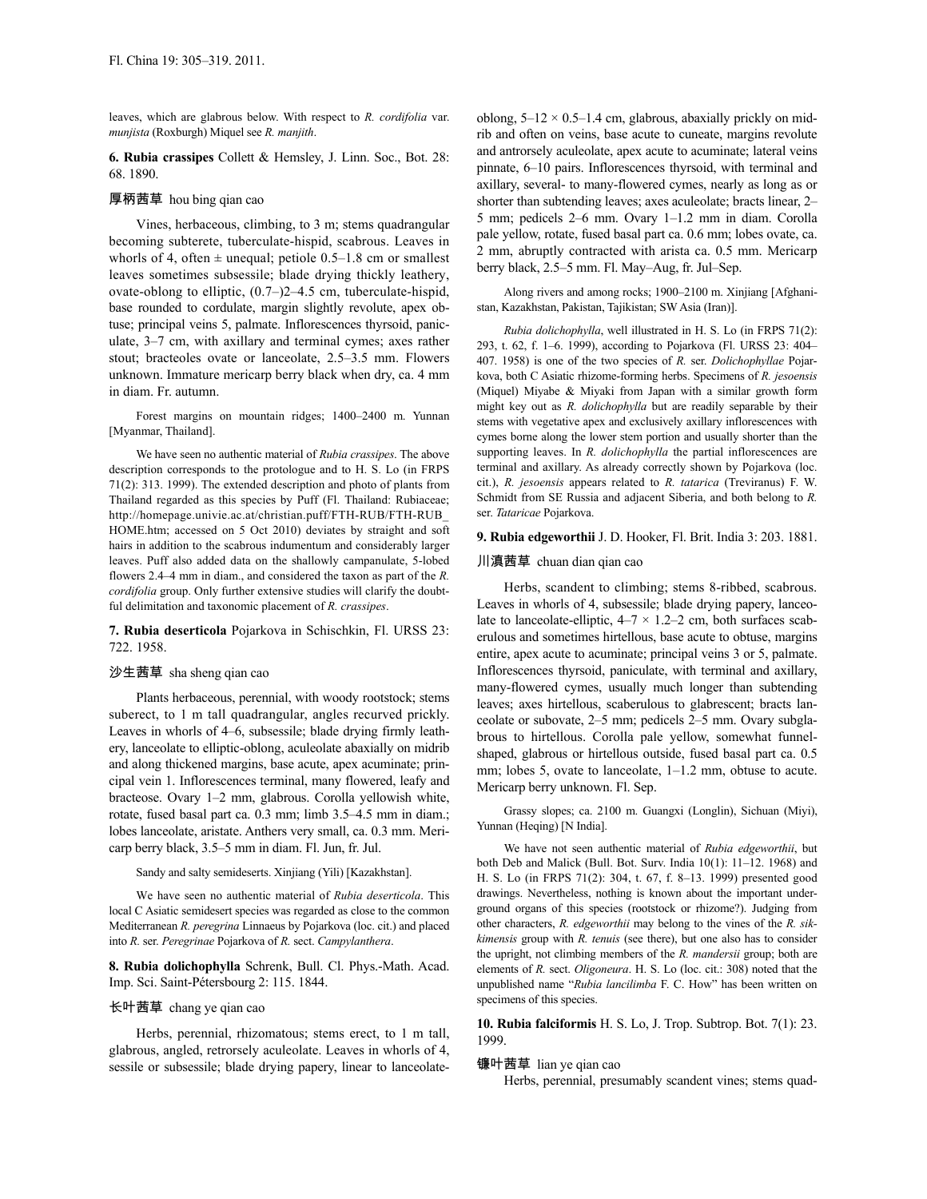leaves, which are glabrous below. With respect to *R. cordifolia* var. *munjista* (Roxburgh) Miquel see *R. manjith*.

**6. Rubia crassipes** Collett & Hemsley, J. Linn. Soc., Bot. 28: 68. 1890.

# 厚柄茜草 hou bing qian cao

Vines, herbaceous, climbing, to 3 m; stems quadrangular becoming subterete, tuberculate-hispid, scabrous. Leaves in whorls of 4, often  $\pm$  unequal; petiole 0.5–1.8 cm or smallest leaves sometimes subsessile; blade drying thickly leathery, ovate-oblong to elliptic, (0.7–)2–4.5 cm, tuberculate-hispid, base rounded to cordulate, margin slightly revolute, apex obtuse; principal veins 5, palmate. Inflorescences thyrsoid, paniculate, 3–7 cm, with axillary and terminal cymes; axes rather stout; bracteoles ovate or lanceolate, 2.5–3.5 mm. Flowers unknown. Immature mericarp berry black when dry, ca. 4 mm in diam. Fr. autumn.

Forest margins on mountain ridges; 1400–2400 m. Yunnan [Myanmar, Thailand].

We have seen no authentic material of *Rubia crassipes*. The above description corresponds to the protologue and to H. S. Lo (in FRPS 71(2): 313. 1999). The extended description and photo of plants from Thailand regarded as this species by Puff (Fl. Thailand: Rubiaceae; http://homepage.univie.ac.at/christian.puff/FTH-RUB/FTH-RUB\_ HOME.htm; accessed on 5 Oct 2010) deviates by straight and soft hairs in addition to the scabrous indumentum and considerably larger leaves. Puff also added data on the shallowly campanulate, 5-lobed flowers 2.4–4 mm in diam., and considered the taxon as part of the *R. cordifolia* group. Only further extensive studies will clarify the doubtful delimitation and taxonomic placement of *R. crassipes*.

### **7. Rubia deserticola** Pojarkova in Schischkin, Fl. URSS 23: 722. 1958.

### 沙生茜草 sha sheng qian cao

Plants herbaceous, perennial, with woody rootstock; stems suberect, to 1 m tall quadrangular, angles recurved prickly. Leaves in whorls of 4–6, subsessile; blade drying firmly leathery, lanceolate to elliptic-oblong, aculeolate abaxially on midrib and along thickened margins, base acute, apex acuminate; principal vein 1. Inflorescences terminal, many flowered, leafy and bracteose. Ovary 1–2 mm, glabrous. Corolla yellowish white, rotate, fused basal part ca. 0.3 mm; limb 3.5–4.5 mm in diam.; lobes lanceolate, aristate. Anthers very small, ca. 0.3 mm. Mericarp berry black, 3.5–5 mm in diam. Fl. Jun, fr. Jul.

# Sandy and salty semideserts. Xinjiang (Yili) [Kazakhstan].

We have seen no authentic material of *Rubia deserticola*. This local C Asiatic semidesert species was regarded as close to the common Mediterranean *R. peregrina* Linnaeus by Pojarkova (loc. cit.) and placed into *R.* ser. *Peregrinae* Pojarkova of *R.* sect. *Campylanthera*.

**8. Rubia dolichophylla** Schrenk, Bull. Cl. Phys.-Math. Acad. Imp. Sci. Saint-Pétersbourg 2: 115. 1844.

# 长叶茜草 chang ye qian cao

Herbs, perennial, rhizomatous; stems erect, to 1 m tall, glabrous, angled, retrorsely aculeolate. Leaves in whorls of 4, sessile or subsessile; blade drying papery, linear to lanceolateoblong,  $5-12 \times 0.5-1.4$  cm, glabrous, abaxially prickly on midrib and often on veins, base acute to cuneate, margins revolute and antrorsely aculeolate, apex acute to acuminate; lateral veins pinnate, 6–10 pairs. Inflorescences thyrsoid, with terminal and axillary, several- to many-flowered cymes, nearly as long as or shorter than subtending leaves; axes aculeolate; bracts linear, 2– 5 mm; pedicels 2–6 mm. Ovary 1–1.2 mm in diam. Corolla pale yellow, rotate, fused basal part ca. 0.6 mm; lobes ovate, ca. 2 mm, abruptly contracted with arista ca. 0.5 mm. Mericarp berry black, 2.5–5 mm. Fl. May–Aug, fr. Jul–Sep.

Along rivers and among rocks; 1900–2100 m. Xinjiang [Afghanistan, Kazakhstan, Pakistan, Tajikistan; SW Asia (Iran)].

*Rubia dolichophylla*, well illustrated in H. S. Lo (in FRPS 71(2): 293, t. 62, f. 1–6. 1999), according to Pojarkova (Fl. URSS 23: 404– 407. 1958) is one of the two species of *R.* ser. *Dolichophyllae* Pojarkova, both C Asiatic rhizome-forming herbs. Specimens of *R. jesoensis* (Miquel) Miyabe & Miyaki from Japan with a similar growth form might key out as *R. dolichophylla* but are readily separable by their stems with vegetative apex and exclusively axillary inflorescences with cymes borne along the lower stem portion and usually shorter than the supporting leaves. In *R. dolichophylla* the partial inflorescences are terminal and axillary. As already correctly shown by Pojarkova (loc. cit.), *R. jesoensis* appears related to *R. tatarica* (Treviranus) F. W. Schmidt from SE Russia and adjacent Siberia, and both belong to *R.* ser. *Tataricae* Pojarkova.

### **9. Rubia edgeworthii** J. D. Hooker, Fl. Brit. India 3: 203. 1881.

### 川滇茜草 chuan dian qian cao

Herbs, scandent to climbing; stems 8-ribbed, scabrous. Leaves in whorls of 4, subsessile; blade drying papery, lanceolate to lanceolate-elliptic,  $4-7 \times 1.2-2$  cm, both surfaces scaberulous and sometimes hirtellous, base acute to obtuse, margins entire, apex acute to acuminate; principal veins 3 or 5, palmate. Inflorescences thyrsoid, paniculate, with terminal and axillary, many-flowered cymes, usually much longer than subtending leaves; axes hirtellous, scaberulous to glabrescent; bracts lanceolate or subovate, 2–5 mm; pedicels 2–5 mm. Ovary subglabrous to hirtellous. Corolla pale yellow, somewhat funnelshaped, glabrous or hirtellous outside, fused basal part ca. 0.5 mm; lobes 5, ovate to lanceolate, 1–1.2 mm, obtuse to acute. Mericarp berry unknown. Fl. Sep.

Grassy slopes; ca. 2100 m. Guangxi (Longlin), Sichuan (Miyi), Yunnan (Heqing) [N India].

We have not seen authentic material of *Rubia edgeworthii*, but both Deb and Malick (Bull. Bot. Surv. India 10(1): 11–12. 1968) and H. S. Lo (in FRPS 71(2): 304, t. 67, f. 8–13. 1999) presented good drawings. Nevertheless, nothing is known about the important underground organs of this species (rootstock or rhizome?). Judging from other characters, *R. edgeworthii* may belong to the vines of the *R. sikkimensis* group with *R. tenuis* (see there), but one also has to consider the upright, not climbing members of the *R. mandersii* group; both are elements of *R.* sect. *Oligoneura*. H. S. Lo (loc. cit.: 308) noted that the unpublished name "*Rubia lancilimba* F. C. How" has been written on specimens of this species.

**10. Rubia falciformis** H. S. Lo, J. Trop. Subtrop. Bot. 7(1): 23. 1999.

### 镰叶茜草 lian ye qian cao

Herbs, perennial, presumably scandent vines; stems quad-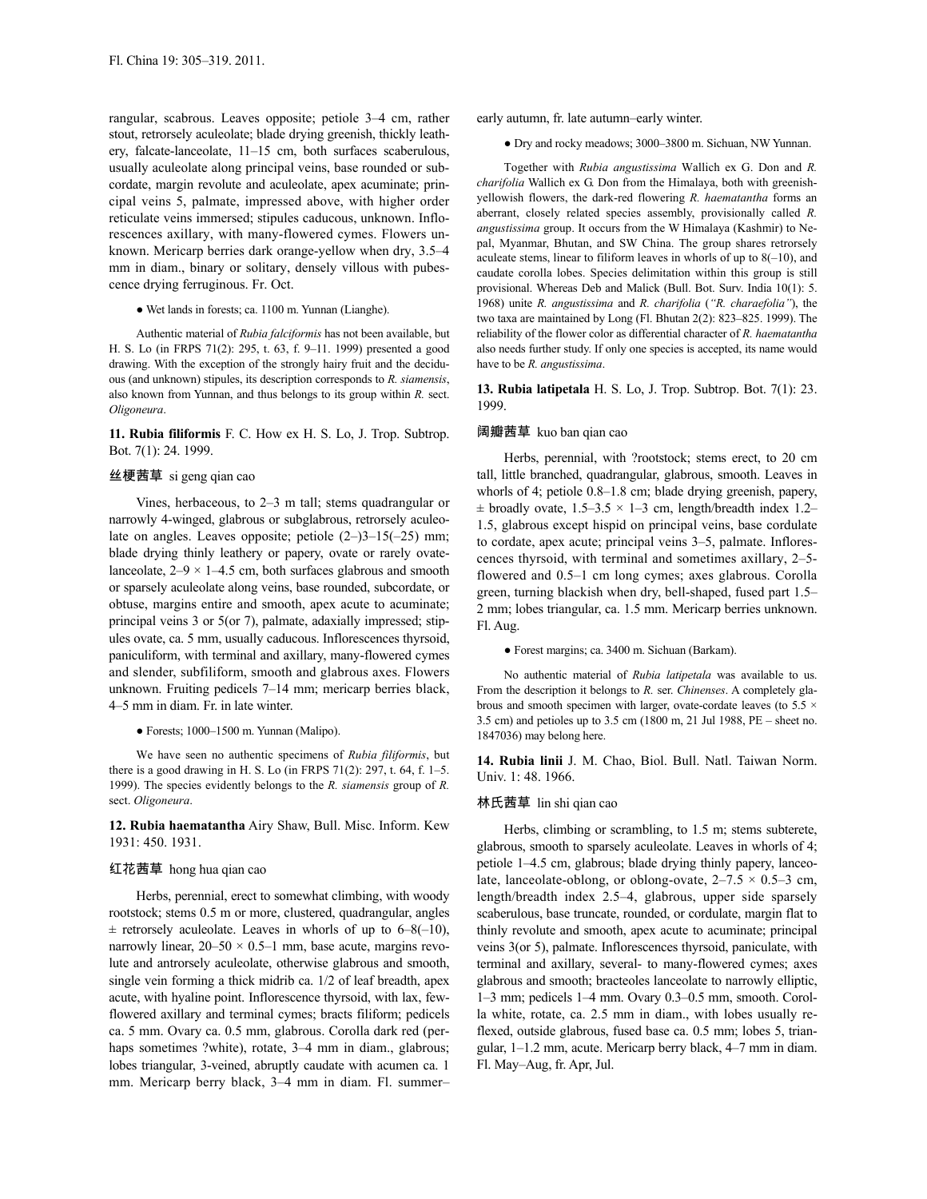rangular, scabrous. Leaves opposite; petiole 3–4 cm, rather stout, retrorsely aculeolate; blade drying greenish, thickly leathery, falcate-lanceolate, 11–15 cm, both surfaces scaberulous, usually aculeolate along principal veins, base rounded or subcordate, margin revolute and aculeolate, apex acuminate; principal veins 5, palmate, impressed above, with higher order reticulate veins immersed; stipules caducous, unknown. Inflorescences axillary, with many-flowered cymes. Flowers unknown. Mericarp berries dark orange-yellow when dry, 3.5–4 mm in diam., binary or solitary, densely villous with pubescence drying ferruginous. Fr. Oct.

● Wet lands in forests; ca. 1100 m. Yunnan (Lianghe).

Authentic material of *Rubia falciformis* has not been available, but H. S. Lo (in FRPS 71(2): 295, t. 63, f. 9–11. 1999) presented a good drawing. With the exception of the strongly hairy fruit and the deciduous (and unknown) stipules, its description corresponds to *R. siamensis*, also known from Yunnan, and thus belongs to its group within *R.* sect. *Oligoneura*.

**11. Rubia filiformis** F. C. How ex H. S. Lo, J. Trop. Subtrop. Bot. 7(1): 24. 1999.

# 丝梗茜草 si geng qian cao

Vines, herbaceous, to 2–3 m tall; stems quadrangular or narrowly 4-winged, glabrous or subglabrous, retrorsely aculeolate on angles. Leaves opposite; petiole  $(2-)3-15(-25)$  mm; blade drying thinly leathery or papery, ovate or rarely ovatelanceolate,  $2-9 \times 1-4.5$  cm, both surfaces glabrous and smooth or sparsely aculeolate along veins, base rounded, subcordate, or obtuse, margins entire and smooth, apex acute to acuminate; principal veins 3 or 5(or 7), palmate, adaxially impressed; stipules ovate, ca. 5 mm, usually caducous. Inflorescences thyrsoid, paniculiform, with terminal and axillary, many-flowered cymes and slender, subfiliform, smooth and glabrous axes. Flowers unknown. Fruiting pedicels 7–14 mm; mericarp berries black, 4–5 mm in diam. Fr. in late winter.

● Forests; 1000–1500 m. Yunnan (Malipo).

We have seen no authentic specimens of *Rubia filiformis*, but there is a good drawing in H. S. Lo (in FRPS 71(2): 297, t. 64, f. 1–5. 1999). The species evidently belongs to the *R. siamensis* group of *R.* sect. *Oligoneura*.

**12. Rubia haematantha** Airy Shaw, Bull. Misc. Inform. Kew 1931: 450. 1931.

### 红花茜草 hong hua qian cao

Herbs, perennial, erect to somewhat climbing, with woody rootstock; stems 0.5 m or more, clustered, quadrangular, angles  $\pm$  retrorsely aculeolate. Leaves in whorls of up to 6–8(–10), narrowly linear,  $20-50 \times 0.5-1$  mm, base acute, margins revolute and antrorsely aculeolate, otherwise glabrous and smooth, single vein forming a thick midrib ca. 1/2 of leaf breadth, apex acute, with hyaline point. Inflorescence thyrsoid, with lax, fewflowered axillary and terminal cymes; bracts filiform; pedicels ca. 5 mm. Ovary ca. 0.5 mm, glabrous. Corolla dark red (perhaps sometimes ?white), rotate, 3-4 mm in diam., glabrous; lobes triangular, 3-veined, abruptly caudate with acumen ca. 1 mm. Mericarp berry black, 3–4 mm in diam. Fl. summer– early autumn, fr. late autumn–early winter.

● Dry and rocky meadows; 3000–3800 m. Sichuan, NW Yunnan.

Together with *Rubia angustissima* Wallich ex G. Don and *R. charifolia* Wallich ex G. Don from the Himalaya, both with greenishyellowish flowers, the dark-red flowering *R. haematantha* forms an aberrant, closely related species assembly, provisionally called *R. angustissima* group. It occurs from the W Himalaya (Kashmir) to Nepal, Myanmar, Bhutan, and SW China. The group shares retrorsely aculeate stems, linear to filiform leaves in whorls of up to  $8(-10)$ , and caudate corolla lobes. Species delimitation within this group is still provisional. Whereas Deb and Malick (Bull. Bot. Surv. India 10(1): 5. 1968) unite *R. angustissima* and *R. charifolia* (*"R. charaefolia"*), the two taxa are maintained by Long (Fl. Bhutan 2(2): 823–825. 1999). The reliability of the flower color as differential character of *R. haematantha* also needs further study. If only one species is accepted, its name would have to be *R. angustissima*.

**13. Rubia latipetala** H. S. Lo, J. Trop. Subtrop. Bot. 7(1): 23. 1999.

# 阔瓣茜草 kuo ban qian cao

Herbs, perennial, with ?rootstock; stems erect, to 20 cm tall, little branched, quadrangular, glabrous, smooth. Leaves in whorls of 4; petiole 0.8–1.8 cm; blade drying greenish, papery,  $\pm$  broadly ovate, 1.5–3.5  $\times$  1–3 cm, length/breadth index 1.2– 1.5, glabrous except hispid on principal veins, base cordulate to cordate, apex acute; principal veins 3–5, palmate. Inflorescences thyrsoid, with terminal and sometimes axillary, 2–5 flowered and 0.5–1 cm long cymes; axes glabrous. Corolla green, turning blackish when dry, bell-shaped, fused part 1.5– 2 mm; lobes triangular, ca. 1.5 mm. Mericarp berries unknown. Fl. Aug.

● Forest margins; ca. 3400 m. Sichuan (Barkam).

No authentic material of *Rubia latipetala* was available to us. From the description it belongs to *R.* ser. *Chinenses*. A completely glabrous and smooth specimen with larger, ovate-cordate leaves (to 5.5  $\times$ 3.5 cm) and petioles up to 3.5 cm (1800 m, 21 Jul 1988, PE – sheet no. 1847036) may belong here.

**14. Rubia linii** J. M. Chao, Biol. Bull. Natl. Taiwan Norm. Univ. 1: 48. 1966.

## 林氏茜草 lin shi qian cao

Herbs, climbing or scrambling, to 1.5 m; stems subterete, glabrous, smooth to sparsely aculeolate. Leaves in whorls of 4; petiole 1–4.5 cm, glabrous; blade drying thinly papery, lanceolate, lanceolate-oblong, or oblong-ovate,  $2-7.5 \times 0.5-3$  cm, length/breadth index 2.5–4, glabrous, upper side sparsely scaberulous, base truncate, rounded, or cordulate, margin flat to thinly revolute and smooth, apex acute to acuminate; principal veins 3(or 5), palmate. Inflorescences thyrsoid, paniculate, with terminal and axillary, several- to many-flowered cymes; axes glabrous and smooth; bracteoles lanceolate to narrowly elliptic, 1–3 mm; pedicels 1–4 mm. Ovary 0.3–0.5 mm, smooth. Corolla white, rotate, ca. 2.5 mm in diam., with lobes usually reflexed, outside glabrous, fused base ca. 0.5 mm; lobes 5, triangular, 1–1.2 mm, acute. Mericarp berry black, 4–7 mm in diam. Fl. May–Aug, fr. Apr, Jul.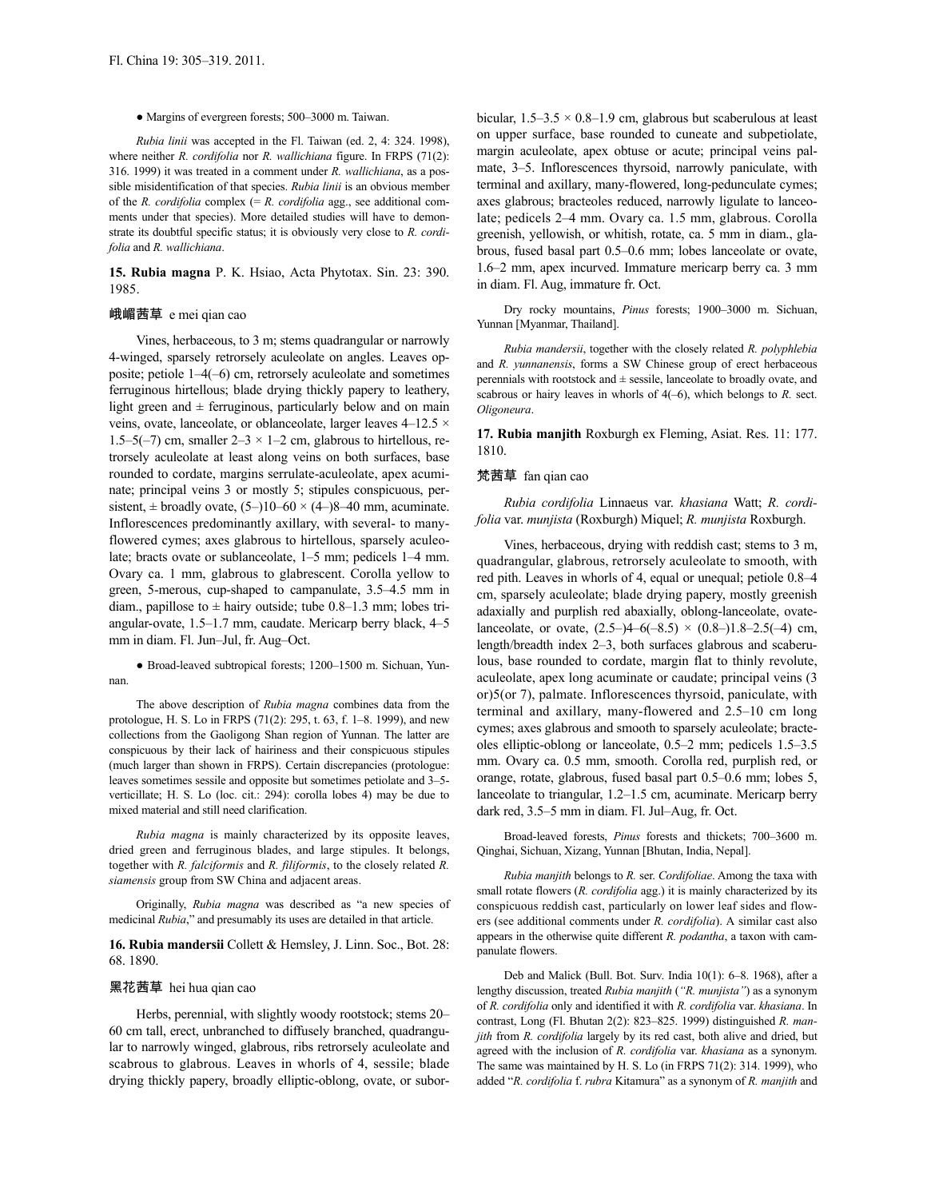### ● Margins of evergreen forests; 500–3000 m. Taiwan.

*Rubia linii* was accepted in the Fl. Taiwan (ed. 2, 4: 324. 1998), where neither *R. cordifolia* nor *R. wallichiana* figure. In FRPS (71(2): 316. 1999) it was treated in a comment under *R. wallichiana*, as a possible misidentification of that species. *Rubia linii* is an obvious member of the *R. cordifolia* complex (= *R. cordifolia* agg., see additional comments under that species). More detailed studies will have to demonstrate its doubtful specific status; it is obviously very close to *R. cordifolia* and *R. wallichiana*.

**15. Rubia magna** P. K. Hsiao, Acta Phytotax. Sin. 23: 390. 1985.

### 峨嵋茜草 e mei qian cao

Vines, herbaceous, to 3 m; stems quadrangular or narrowly 4-winged, sparsely retrorsely aculeolate on angles. Leaves opposite; petiole 1–4(–6) cm, retrorsely aculeolate and sometimes ferruginous hirtellous; blade drying thickly papery to leathery, light green and  $\pm$  ferruginous, particularly below and on main veins, ovate, lanceolate, or oblanceolate, larger leaves 4–12.5 × 1.5–5(–7) cm, smaller  $2-3 \times 1-2$  cm, glabrous to hirtellous, retrorsely aculeolate at least along veins on both surfaces, base rounded to cordate, margins serrulate-aculeolate, apex acuminate; principal veins 3 or mostly 5; stipules conspicuous, persistent,  $\pm$  broadly ovate, (5–)10–60 × (4–)8–40 mm, acuminate. Inflorescences predominantly axillary, with several- to manyflowered cymes; axes glabrous to hirtellous, sparsely aculeolate; bracts ovate or sublanceolate, 1–5 mm; pedicels 1–4 mm. Ovary ca. 1 mm, glabrous to glabrescent. Corolla yellow to green, 5-merous, cup-shaped to campanulate, 3.5–4.5 mm in diam., papillose to  $\pm$  hairy outside; tube 0.8–1.3 mm; lobes triangular-ovate, 1.5–1.7 mm, caudate. Mericarp berry black, 4–5 mm in diam. Fl. Jun–Jul, fr. Aug–Oct.

● Broad-leaved subtropical forests; 1200–1500 m. Sichuan, Yunnan.

The above description of *Rubia magna* combines data from the protologue, H. S. Lo in FRPS (71(2): 295, t. 63, f. 1–8. 1999), and new collections from the Gaoligong Shan region of Yunnan. The latter are conspicuous by their lack of hairiness and their conspicuous stipules (much larger than shown in FRPS). Certain discrepancies (protologue: leaves sometimes sessile and opposite but sometimes petiolate and 3–5 verticillate; H. S. Lo (loc. cit.: 294): corolla lobes 4) may be due to mixed material and still need clarification.

*Rubia magna* is mainly characterized by its opposite leaves, dried green and ferruginous blades, and large stipules. It belongs, together with *R. falciformis* and *R. filiformis*, to the closely related *R. siamensis* group from SW China and adjacent areas.

Originally, *Rubia magna* was described as "a new species of medicinal *Rubia*," and presumably its uses are detailed in that article.

**16. Rubia mandersii** Collett & Hemsley, J. Linn. Soc., Bot. 28: 68. 1890.

### 黑花茜草 hei hua qian cao

Herbs, perennial, with slightly woody rootstock; stems 20– 60 cm tall, erect, unbranched to diffusely branched, quadrangular to narrowly winged, glabrous, ribs retrorsely aculeolate and scabrous to glabrous. Leaves in whorls of 4, sessile; blade drying thickly papery, broadly elliptic-oblong, ovate, or suborbicular,  $1.5-3.5 \times 0.8-1.9$  cm, glabrous but scaberulous at least on upper surface, base rounded to cuneate and subpetiolate, margin aculeolate, apex obtuse or acute; principal veins palmate, 3–5. Inflorescences thyrsoid, narrowly paniculate, with terminal and axillary, many-flowered, long-pedunculate cymes; axes glabrous; bracteoles reduced, narrowly ligulate to lanceolate; pedicels 2–4 mm. Ovary ca. 1.5 mm, glabrous. Corolla greenish, yellowish, or whitish, rotate, ca. 5 mm in diam., glabrous, fused basal part 0.5–0.6 mm; lobes lanceolate or ovate, 1.6–2 mm, apex incurved. Immature mericarp berry ca. 3 mm in diam. Fl. Aug, immature fr. Oct.

Dry rocky mountains, *Pinus* forests; 1900–3000 m. Sichuan, Yunnan [Myanmar, Thailand].

*Rubia mandersii*, together with the closely related *R. polyphlebia* and *R. yunnanensis*, forms a SW Chinese group of erect herbaceous perennials with rootstock and  $\pm$  sessile, lanceolate to broadly ovate, and scabrous or hairy leaves in whorls of  $4(-6)$ , which belongs to *R*. sect. *Oligoneura*.

**17. Rubia manjith** Roxburgh ex Fleming, Asiat. Res. 11: 177. 1810.

### 梵茜草 fan qian cao

*Rubia cordifolia* Linnaeus var. *khasiana* Watt; *R. cordifolia* var. *munjista* (Roxburgh) Miquel; *R. munjista* Roxburgh.

Vines, herbaceous, drying with reddish cast; stems to 3 m, quadrangular, glabrous, retrorsely aculeolate to smooth, with red pith. Leaves in whorls of 4, equal or unequal; petiole 0.8–4 cm, sparsely aculeolate; blade drying papery, mostly greenish adaxially and purplish red abaxially, oblong-lanceolate, ovatelanceolate, or ovate,  $(2.5-4-6(-8.5) \times (0.8-1.8-2.5(-4) \text{ cm},$ length/breadth index 2–3, both surfaces glabrous and scaberulous, base rounded to cordate, margin flat to thinly revolute, aculeolate, apex long acuminate or caudate; principal veins (3 or)5(or 7), palmate. Inflorescences thyrsoid, paniculate, with terminal and axillary, many-flowered and 2.5–10 cm long cymes; axes glabrous and smooth to sparsely aculeolate; bracteoles elliptic-oblong or lanceolate, 0.5–2 mm; pedicels 1.5–3.5 mm. Ovary ca. 0.5 mm, smooth. Corolla red, purplish red, or orange, rotate, glabrous, fused basal part 0.5–0.6 mm; lobes 5, lanceolate to triangular, 1.2–1.5 cm, acuminate. Mericarp berry dark red, 3.5–5 mm in diam. Fl. Jul–Aug, fr. Oct.

Broad-leaved forests, *Pinus* forests and thickets; 700–3600 m. Qinghai, Sichuan, Xizang, Yunnan [Bhutan, India, Nepal].

*Rubia manjith* belongs to *R.* ser. *Cordifoliae*. Among the taxa with small rotate flowers (*R. cordifolia* agg.) it is mainly characterized by its conspicuous reddish cast, particularly on lower leaf sides and flowers (see additional comments under *R. cordifolia*). A similar cast also appears in the otherwise quite different *R. podantha*, a taxon with campanulate flowers.

Deb and Malick (Bull. Bot. Surv. India 10(1): 6–8. 1968), after a lengthy discussion, treated *Rubia manjith* (*"R. munjista"*) as a synonym of *R. cordifolia* only and identified it with *R. cordifolia* var. *khasiana*. In contrast, Long (Fl. Bhutan 2(2): 823–825. 1999) distinguished *R. manjith* from *R. cordifolia* largely by its red cast, both alive and dried, but agreed with the inclusion of *R. cordifolia* var. *khasiana* as a synonym. The same was maintained by H. S. Lo (in FRPS 71(2): 314. 1999), who added "*R. cordifolia* f. *rubra* Kitamura" as a synonym of *R. manjith* and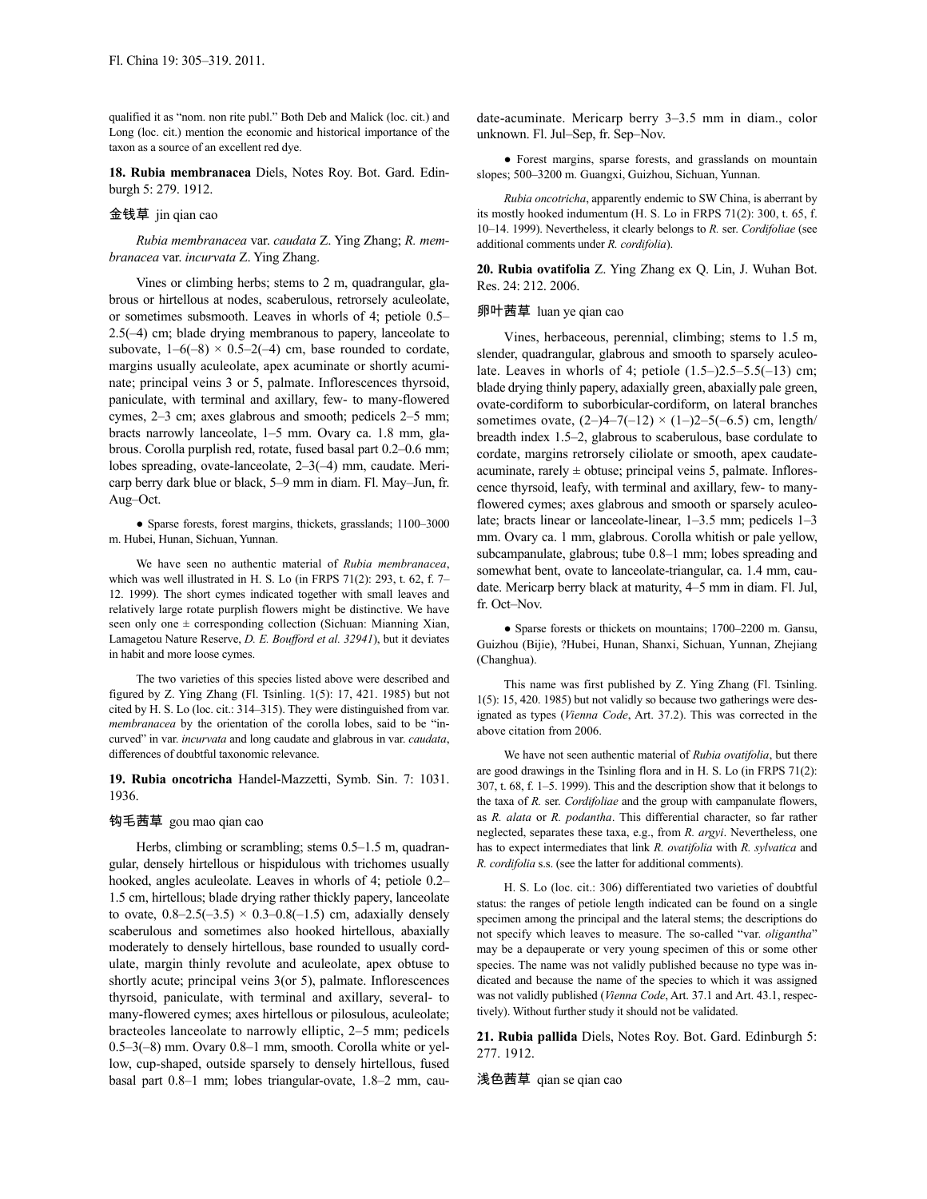qualified it as "nom. non rite publ." Both Deb and Malick (loc. cit.) and Long (loc. cit.) mention the economic and historical importance of the taxon as a source of an excellent red dye.

**18. Rubia membranacea** Diels, Notes Roy. Bot. Gard. Edinburgh 5: 279. 1912.

# 金钱草 jin qian cao

*Rubia membranacea* var. *caudata* Z. Ying Zhang; *R. membranacea* var. *incurvata* Z. Ying Zhang.

Vines or climbing herbs; stems to 2 m, quadrangular, glabrous or hirtellous at nodes, scaberulous, retrorsely aculeolate, or sometimes subsmooth. Leaves in whorls of 4; petiole 0.5– 2.5(–4) cm; blade drying membranous to papery, lanceolate to subovate,  $1-6(-8) \times 0.5-2(-4)$  cm, base rounded to cordate, margins usually aculeolate, apex acuminate or shortly acuminate; principal veins 3 or 5, palmate. Inflorescences thyrsoid, paniculate, with terminal and axillary, few- to many-flowered cymes, 2–3 cm; axes glabrous and smooth; pedicels 2–5 mm; bracts narrowly lanceolate, 1–5 mm. Ovary ca. 1.8 mm, glabrous. Corolla purplish red, rotate, fused basal part 0.2–0.6 mm; lobes spreading, ovate-lanceolate, 2–3(–4) mm, caudate. Mericarp berry dark blue or black, 5–9 mm in diam. Fl. May–Jun, fr. Aug–Oct.

● Sparse forests, forest margins, thickets, grasslands; 1100–3000 m. Hubei, Hunan, Sichuan, Yunnan.

We have seen no authentic material of *Rubia membranacea*, which was well illustrated in H. S. Lo (in FRPS 71(2): 293, t. 62, f. 7– 12. 1999). The short cymes indicated together with small leaves and relatively large rotate purplish flowers might be distinctive. We have seen only one  $\pm$  corresponding collection (Sichuan: Mianning Xian, Lamagetou Nature Reserve, *D. E. Boufford et al. 32941*), but it deviates in habit and more loose cymes.

The two varieties of this species listed above were described and figured by Z. Ying Zhang (Fl. Tsinling. 1(5): 17, 421. 1985) but not cited by H. S. Lo (loc. cit.: 314–315). They were distinguished from var. *membranacea* by the orientation of the corolla lobes, said to be "incurved" in var. *incurvata* and long caudate and glabrous in var. *caudata*, differences of doubtful taxonomic relevance.

# **19. Rubia oncotricha** Handel-Mazzetti, Symb. Sin. 7: 1031. 1936.

### 钩毛茜草 gou mao qian cao

Herbs, climbing or scrambling; stems 0.5–1.5 m, quadrangular, densely hirtellous or hispidulous with trichomes usually hooked, angles aculeolate. Leaves in whorls of 4; petiole 0.2– 1.5 cm, hirtellous; blade drying rather thickly papery, lanceolate to ovate,  $0.8-2.5(-3.5) \times 0.3-0.8(-1.5)$  cm, adaxially densely scaberulous and sometimes also hooked hirtellous, abaxially moderately to densely hirtellous, base rounded to usually cordulate, margin thinly revolute and aculeolate, apex obtuse to shortly acute; principal veins 3(or 5), palmate. Inflorescences thyrsoid, paniculate, with terminal and axillary, several- to many-flowered cymes; axes hirtellous or pilosulous, aculeolate; bracteoles lanceolate to narrowly elliptic, 2–5 mm; pedicels 0.5–3(–8) mm. Ovary 0.8–1 mm, smooth. Corolla white or yellow, cup-shaped, outside sparsely to densely hirtellous, fused basal part 0.8–1 mm; lobes triangular-ovate, 1.8–2 mm, caudate-acuminate. Mericarp berry 3–3.5 mm in diam., color unknown. Fl. Jul–Sep, fr. Sep–Nov.

● Forest margins, sparse forests, and grasslands on mountain slopes; 500–3200 m. Guangxi, Guizhou, Sichuan, Yunnan.

*Rubia oncotricha*, apparently endemic to SW China, is aberrant by its mostly hooked indumentum (H. S. Lo in FRPS 71(2): 300, t. 65, f. 10–14. 1999). Nevertheless, it clearly belongs to *R.* ser. *Cordifoliae* (see additional comments under *R. cordifolia*).

**20. Rubia ovatifolia** Z. Ying Zhang ex Q. Lin, J. Wuhan Bot. Res. 24: 212. 2006.

#### 卵叶茜草 luan ye qian cao

Vines, herbaceous, perennial, climbing; stems to 1.5 m, slender, quadrangular, glabrous and smooth to sparsely aculeolate. Leaves in whorls of 4; petiole  $(1.5-2.5-5.5(-13)$  cm; blade drying thinly papery, adaxially green, abaxially pale green, ovate-cordiform to suborbicular-cordiform, on lateral branches sometimes ovate,  $(2-)4-7(-12) \times (1-)2-5(-6.5)$  cm, length/ breadth index 1.5–2, glabrous to scaberulous, base cordulate to cordate, margins retrorsely ciliolate or smooth, apex caudateacuminate, rarely  $\pm$  obtuse; principal veins 5, palmate. Inflorescence thyrsoid, leafy, with terminal and axillary, few- to manyflowered cymes; axes glabrous and smooth or sparsely aculeolate; bracts linear or lanceolate-linear, 1–3.5 mm; pedicels 1–3 mm. Ovary ca. 1 mm, glabrous. Corolla whitish or pale yellow, subcampanulate, glabrous; tube 0.8–1 mm; lobes spreading and somewhat bent, ovate to lanceolate-triangular, ca. 1.4 mm, caudate. Mericarp berry black at maturity, 4–5 mm in diam. Fl. Jul, fr. Oct–Nov.

• Sparse forests or thickets on mountains: 1700–2200 m. Gansu, Guizhou (Bijie), ?Hubei, Hunan, Shanxi, Sichuan, Yunnan, Zhejiang (Changhua).

This name was first published by Z. Ying Zhang (Fl. Tsinling. 1(5): 15, 420. 1985) but not validly so because two gatherings were designated as types (*Vienna Code*, Art. 37.2). This was corrected in the above citation from 2006.

We have not seen authentic material of *Rubia ovatifolia*, but there are good drawings in the Tsinling flora and in H. S. Lo (in FRPS 71(2): 307, t. 68, f. 1–5. 1999). This and the description show that it belongs to the taxa of *R.* ser. *Cordifoliae* and the group with campanulate flowers, as *R. alata* or *R. podantha*. This differential character, so far rather neglected, separates these taxa, e.g., from *R. argyi*. Nevertheless, one has to expect intermediates that link *R. ovatifolia* with *R. sylvatica* and *R. cordifolia* s.s. (see the latter for additional comments).

H. S. Lo (loc. cit.: 306) differentiated two varieties of doubtful status: the ranges of petiole length indicated can be found on a single specimen among the principal and the lateral stems; the descriptions do not specify which leaves to measure. The so-called "var. *oligantha*" may be a depauperate or very young specimen of this or some other species. The name was not validly published because no type was indicated and because the name of the species to which it was assigned was not validly published (*Vienna Code*, Art. 37.1 and Art. 43.1, respectively). Without further study it should not be validated.

**21. Rubia pallida** Diels, Notes Roy. Bot. Gard. Edinburgh 5: 277. 1912.

### 浅色茜草 qian se qian cao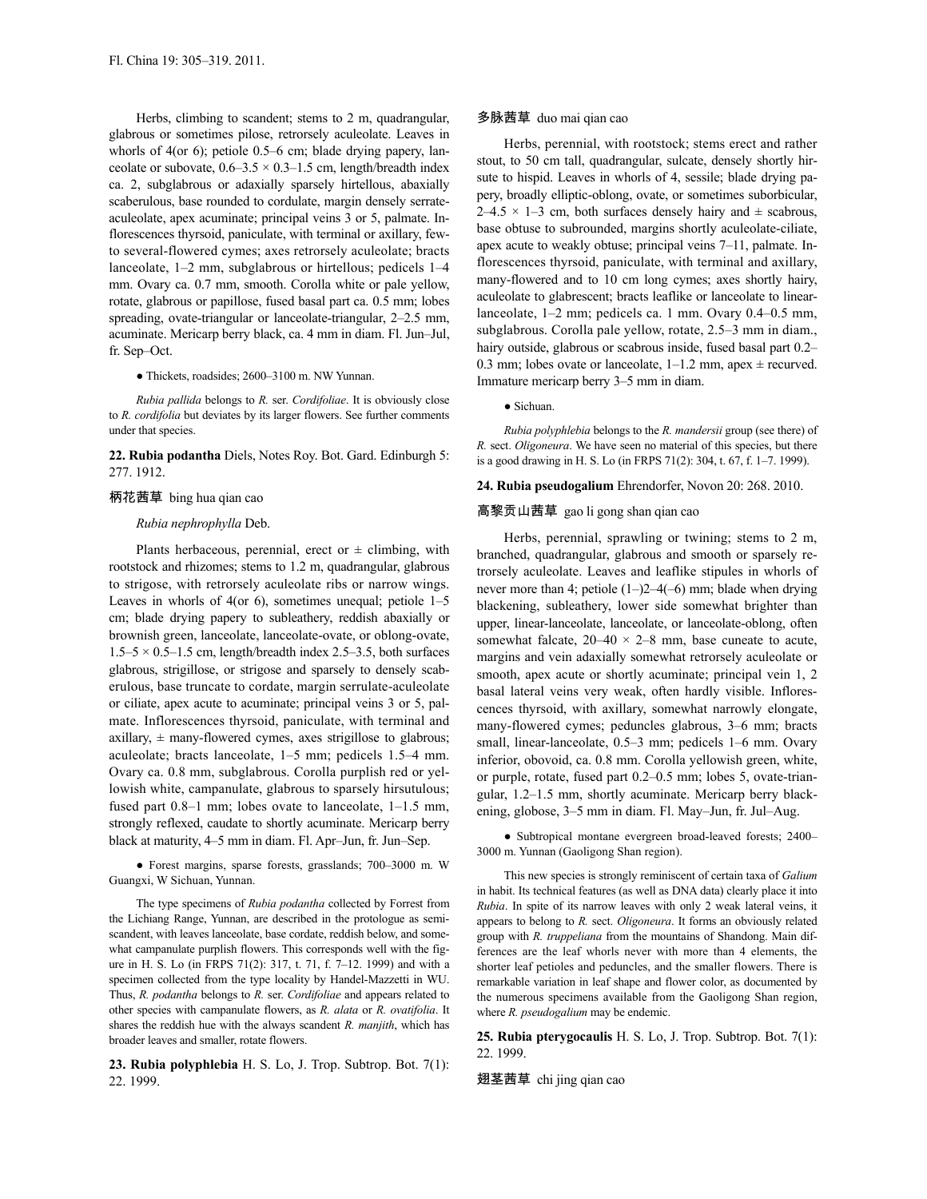Herbs, climbing to scandent; stems to 2 m, quadrangular, glabrous or sometimes pilose, retrorsely aculeolate. Leaves in whorls of 4(or 6); petiole 0.5–6 cm; blade drying papery, lanceolate or subovate,  $0.6-3.5 \times 0.3-1.5$  cm, length/breadth index ca. 2, subglabrous or adaxially sparsely hirtellous, abaxially scaberulous, base rounded to cordulate, margin densely serrateaculeolate, apex acuminate; principal veins 3 or 5, palmate. Inflorescences thyrsoid, paniculate, with terminal or axillary, fewto several-flowered cymes; axes retrorsely aculeolate; bracts lanceolate, 1–2 mm, subglabrous or hirtellous; pedicels 1–4 mm. Ovary ca. 0.7 mm, smooth. Corolla white or pale yellow, rotate, glabrous or papillose, fused basal part ca. 0.5 mm; lobes spreading, ovate-triangular or lanceolate-triangular, 2–2.5 mm, acuminate. Mericarp berry black, ca. 4 mm in diam. Fl. Jun–Jul, fr. Sep–Oct.

● Thickets, roadsides; 2600–3100 m. NW Yunnan.

*Rubia pallida* belongs to *R.* ser. *Cordifoliae*. It is obviously close to *R. cordifolia* but deviates by its larger flowers. See further comments under that species.

**22. Rubia podantha** Diels, Notes Roy. Bot. Gard. Edinburgh 5: 277. 1912.

# 柄花茜草 bing hua qian cao

# *Rubia nephrophylla* Deb.

Plants herbaceous, perennial, erect or  $\pm$  climbing, with rootstock and rhizomes; stems to 1.2 m, quadrangular, glabrous to strigose, with retrorsely aculeolate ribs or narrow wings. Leaves in whorls of  $4$ (or 6), sometimes unequal; petiole  $1-5$ cm; blade drying papery to subleathery, reddish abaxially or brownish green, lanceolate, lanceolate-ovate, or oblong-ovate,  $1.5-5 \times 0.5-1.5$  cm, length/breadth index 2.5-3.5, both surfaces glabrous, strigillose, or strigose and sparsely to densely scaberulous, base truncate to cordate, margin serrulate-aculeolate or ciliate, apex acute to acuminate; principal veins 3 or 5, palmate. Inflorescences thyrsoid, paniculate, with terminal and axillary,  $\pm$  many-flowered cymes, axes strigillose to glabrous; aculeolate; bracts lanceolate, 1–5 mm; pedicels 1.5–4 mm. Ovary ca. 0.8 mm, subglabrous. Corolla purplish red or yellowish white, campanulate, glabrous to sparsely hirsutulous; fused part 0.8–1 mm; lobes ovate to lanceolate, 1–1.5 mm, strongly reflexed, caudate to shortly acuminate. Mericarp berry black at maturity, 4–5 mm in diam. Fl. Apr–Jun, fr. Jun–Sep.

● Forest margins, sparse forests, grasslands; 700–3000 m. W Guangxi, W Sichuan, Yunnan.

The type specimens of *Rubia podantha* collected by Forrest from the Lichiang Range, Yunnan, are described in the protologue as semiscandent, with leaves lanceolate, base cordate, reddish below, and somewhat campanulate purplish flowers. This corresponds well with the figure in H. S. Lo (in FRPS 71(2): 317, t. 71, f. 7–12. 1999) and with a specimen collected from the type locality by Handel-Mazzetti in WU. Thus, *R. podantha* belongs to *R.* ser. *Cordifoliae* and appears related to other species with campanulate flowers, as *R. alata* or *R. ovatifolia*. It shares the reddish hue with the always scandent *R. manjith*, which has broader leaves and smaller, rotate flowers.

**23. Rubia polyphlebia** H. S. Lo, J. Trop. Subtrop. Bot. 7(1): 22. 1999.

### 多脉茜草 duo mai qian cao

Herbs, perennial, with rootstock; stems erect and rather stout, to 50 cm tall, quadrangular, sulcate, densely shortly hirsute to hispid. Leaves in whorls of 4, sessile; blade drying papery, broadly elliptic-oblong, ovate, or sometimes suborbicular,  $2-4.5 \times 1-3$  cm, both surfaces densely hairy and  $\pm$  scabrous, base obtuse to subrounded, margins shortly aculeolate-ciliate, apex acute to weakly obtuse; principal veins 7–11, palmate. Inflorescences thyrsoid, paniculate, with terminal and axillary, many-flowered and to 10 cm long cymes; axes shortly hairy, aculeolate to glabrescent; bracts leaflike or lanceolate to linearlanceolate, 1–2 mm; pedicels ca. 1 mm. Ovary 0.4–0.5 mm, subglabrous. Corolla pale yellow, rotate, 2.5–3 mm in diam., hairy outside, glabrous or scabrous inside, fused basal part 0.2– 0.3 mm; lobes ovate or lanceolate,  $1-1.2$  mm, apex  $\pm$  recurved. Immature mericarp berry 3–5 mm in diam.

# ● Sichuan.

*Rubia polyphlebia* belongs to the *R. mandersii* group (see there) of *R.* sect. *Oligoneura*. We have seen no material of this species, but there is a good drawing in H. S. Lo (in FRPS 71(2): 304, t. 67, f. 1–7. 1999).

#### **24. Rubia pseudogalium** Ehrendorfer, Novon 20: 268. 2010.

### 高黎贡山茜草 gao li gong shan qian cao

Herbs, perennial, sprawling or twining; stems to 2 m, branched, quadrangular, glabrous and smooth or sparsely retrorsely aculeolate. Leaves and leaflike stipules in whorls of never more than 4; petiole (1–)2–4(–6) mm; blade when drying blackening, subleathery, lower side somewhat brighter than upper, linear-lanceolate, lanceolate, or lanceolate-oblong, often somewhat falcate,  $20-40 \times 2-8$  mm, base cuneate to acute, margins and vein adaxially somewhat retrorsely aculeolate or smooth, apex acute or shortly acuminate; principal vein 1, 2 basal lateral veins very weak, often hardly visible. Inflorescences thyrsoid, with axillary, somewhat narrowly elongate, many-flowered cymes; peduncles glabrous, 3–6 mm; bracts small, linear-lanceolate, 0.5–3 mm; pedicels 1–6 mm. Ovary inferior, obovoid, ca. 0.8 mm. Corolla yellowish green, white, or purple, rotate, fused part 0.2–0.5 mm; lobes 5, ovate-triangular, 1.2–1.5 mm, shortly acuminate. Mericarp berry blackening, globose, 3–5 mm in diam. Fl. May–Jun, fr. Jul–Aug.

● Subtropical montane evergreen broad-leaved forests; 2400– 3000 m. Yunnan (Gaoligong Shan region).

This new species is strongly reminiscent of certain taxa of *Galium* in habit. Its technical features (as well as DNA data) clearly place it into *Rubia*. In spite of its narrow leaves with only 2 weak lateral veins, it appears to belong to *R.* sect. *Oligoneura*. It forms an obviously related group with *R. truppeliana* from the mountains of Shandong. Main differences are the leaf whorls never with more than 4 elements, the shorter leaf petioles and peduncles, and the smaller flowers. There is remarkable variation in leaf shape and flower color, as documented by the numerous specimens available from the Gaoligong Shan region, where *R. pseudogalium* may be endemic.

**25. Rubia pterygocaulis** H. S. Lo, J. Trop. Subtrop. Bot. 7(1): 22. 1999.

翅茎茜草 chi jing qian cao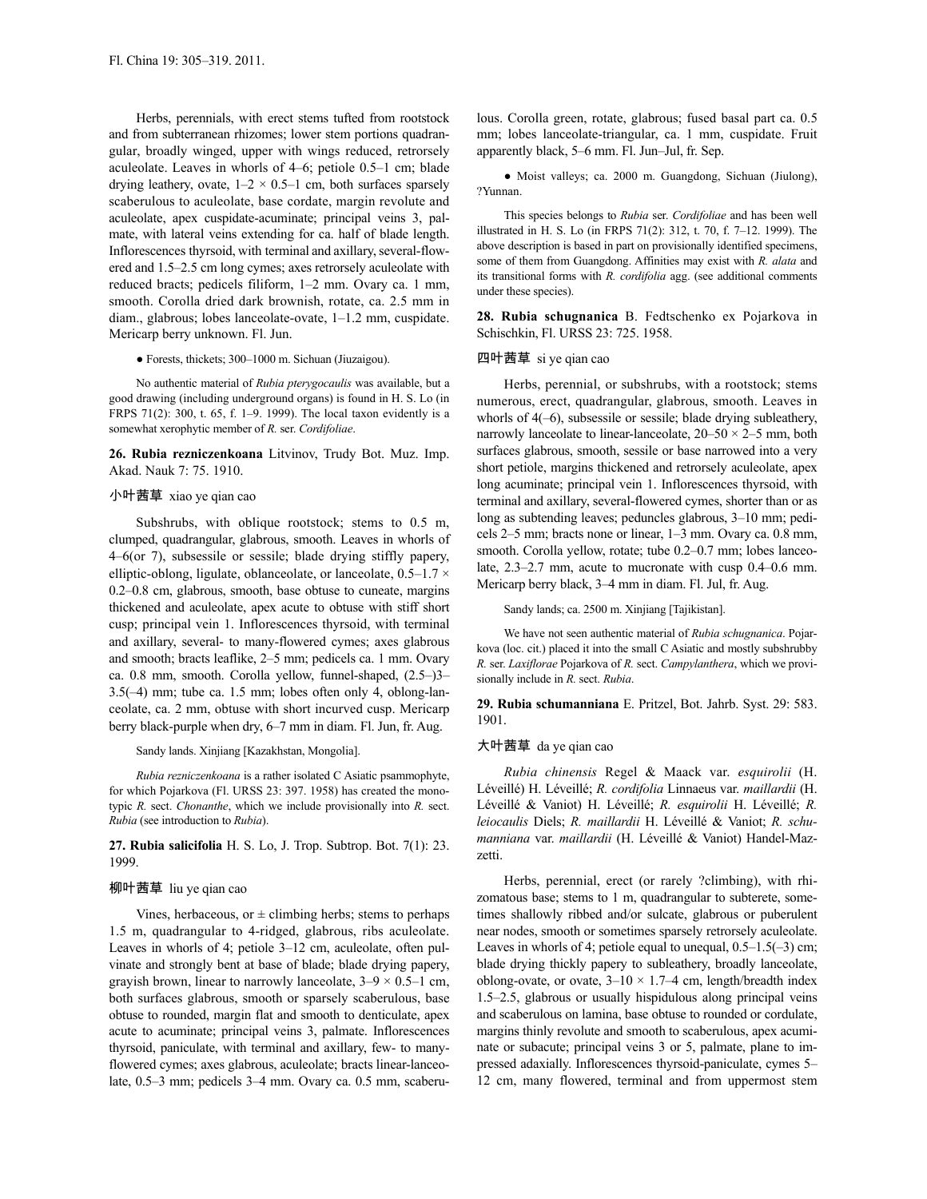Herbs, perennials, with erect stems tufted from rootstock and from subterranean rhizomes; lower stem portions quadrangular, broadly winged, upper with wings reduced, retrorsely aculeolate. Leaves in whorls of 4–6; petiole 0.5–1 cm; blade drying leathery, ovate,  $1-2 \times 0.5-1$  cm, both surfaces sparsely scaberulous to aculeolate, base cordate, margin revolute and aculeolate, apex cuspidate-acuminate; principal veins 3, palmate, with lateral veins extending for ca. half of blade length. Inflorescences thyrsoid, with terminal and axillary, several-flowered and 1.5–2.5 cm long cymes; axes retrorsely aculeolate with reduced bracts; pedicels filiform, 1–2 mm. Ovary ca. 1 mm, smooth. Corolla dried dark brownish, rotate, ca. 2.5 mm in diam., glabrous; lobes lanceolate-ovate, 1–1.2 mm, cuspidate. Mericarp berry unknown. Fl. Jun.

● Forests, thickets; 300–1000 m. Sichuan (Jiuzaigou).

No authentic material of *Rubia pterygocaulis* was available, but a good drawing (including underground organs) is found in H. S. Lo (in FRPS 71(2): 300, t. 65, f. 1–9. 1999). The local taxon evidently is a somewhat xerophytic member of *R.* ser. *Cordifoliae*.

**26. Rubia rezniczenkoana** Litvinov, Trudy Bot. Muz. Imp. Akad. Nauk 7: 75. 1910.

# 小叶茜草 xiao ye qian cao

Subshrubs, with oblique rootstock; stems to 0.5 m, clumped, quadrangular, glabrous, smooth. Leaves in whorls of 4–6(or 7), subsessile or sessile; blade drying stiffly papery, elliptic-oblong, ligulate, oblanceolate, or lanceolate, 0.5–1.7 × 0.2–0.8 cm, glabrous, smooth, base obtuse to cuneate, margins thickened and aculeolate, apex acute to obtuse with stiff short cusp; principal vein 1. Inflorescences thyrsoid, with terminal and axillary, several- to many-flowered cymes; axes glabrous and smooth; bracts leaflike, 2–5 mm; pedicels ca. 1 mm. Ovary ca. 0.8 mm, smooth. Corolla yellow, funnel-shaped, (2.5–)3– 3.5(–4) mm; tube ca. 1.5 mm; lobes often only 4, oblong-lanceolate, ca. 2 mm, obtuse with short incurved cusp. Mericarp berry black-purple when dry, 6–7 mm in diam. Fl. Jun, fr. Aug.

Sandy lands. Xinjiang [Kazakhstan, Mongolia].

*Rubia rezniczenkoana* is a rather isolated C Asiatic psammophyte, for which Pojarkova (Fl. URSS 23: 397. 1958) has created the monotypic *R.* sect. *Chonanthe*, which we include provisionally into *R.* sect. *Rubia* (see introduction to *Rubia*).

**27. Rubia salicifolia** H. S. Lo, J. Trop. Subtrop. Bot. 7(1): 23. 1999.

### 柳叶茜草 liu ye qian cao

Vines, herbaceous, or  $\pm$  climbing herbs; stems to perhaps 1.5 m, quadrangular to 4-ridged, glabrous, ribs aculeolate. Leaves in whorls of 4; petiole 3–12 cm, aculeolate, often pulvinate and strongly bent at base of blade; blade drying papery, grayish brown, linear to narrowly lanceolate,  $3-9 \times 0.5-1$  cm, both surfaces glabrous, smooth or sparsely scaberulous, base obtuse to rounded, margin flat and smooth to denticulate, apex acute to acuminate; principal veins 3, palmate. Inflorescences thyrsoid, paniculate, with terminal and axillary, few- to manyflowered cymes; axes glabrous, aculeolate; bracts linear-lanceolate, 0.5–3 mm; pedicels 3–4 mm. Ovary ca. 0.5 mm, scaberulous. Corolla green, rotate, glabrous; fused basal part ca. 0.5 mm; lobes lanceolate-triangular, ca. 1 mm, cuspidate. Fruit apparently black, 5–6 mm. Fl. Jun–Jul, fr. Sep.

● Moist valleys; ca. 2000 m. Guangdong, Sichuan (Jiulong), ?Yunnan.

This species belongs to *Rubia* ser. *Cordifoliae* and has been well illustrated in H. S. Lo (in FRPS 71(2): 312, t. 70, f. 7–12. 1999). The above description is based in part on provisionally identified specimens, some of them from Guangdong. Affinities may exist with *R. alata* and its transitional forms with *R. cordifolia* agg. (see additional comments under these species).

**28. Rubia schugnanica** B. Fedtschenko ex Pojarkova in Schischkin, Fl. URSS 23: 725. 1958.

# 四叶茜草 si ye qian cao

Herbs, perennial, or subshrubs, with a rootstock; stems numerous, erect, quadrangular, glabrous, smooth. Leaves in whorls of 4(–6), subsessile or sessile; blade drying subleathery, narrowly lanceolate to linear-lanceolate,  $20-50 \times 2-5$  mm, both surfaces glabrous, smooth, sessile or base narrowed into a very short petiole, margins thickened and retrorsely aculeolate, apex long acuminate; principal vein 1. Inflorescences thyrsoid, with terminal and axillary, several-flowered cymes, shorter than or as long as subtending leaves; peduncles glabrous, 3–10 mm; pedicels 2–5 mm; bracts none or linear, 1–3 mm. Ovary ca. 0.8 mm, smooth. Corolla yellow, rotate; tube 0.2–0.7 mm; lobes lanceolate, 2.3–2.7 mm, acute to mucronate with cusp 0.4–0.6 mm. Mericarp berry black, 3–4 mm in diam. Fl. Jul, fr. Aug.

Sandy lands; ca. 2500 m. Xinjiang [Tajikistan].

We have not seen authentic material of *Rubia schugnanica*. Pojarkova (loc. cit.) placed it into the small C Asiatic and mostly subshrubby *R.* ser. *Laxiflorae* Pojarkova of *R.* sect. *Campylanthera*, which we provisionally include in *R.* sect. *Rubia*.

**29. Rubia schumanniana** E. Pritzel, Bot. Jahrb. Syst. 29: 583. 1901.

### 大叶茜草 da ye qian cao

*Rubia chinensis* Regel & Maack var. *esquirolii* (H. Léveillé) H. Léveillé; *R. cordifolia* Linnaeus var. *maillardii* (H. Léveillé & Vaniot) H. Léveillé; *R. esquirolii* H. Léveillé; *R. leiocaulis* Diels; *R. maillardii* H. Léveillé & Vaniot; *R. schumanniana* var. *maillardii* (H. Léveillé & Vaniot) Handel-Mazzetti.

Herbs, perennial, erect (or rarely ?climbing), with rhizomatous base; stems to 1 m, quadrangular to subterete, sometimes shallowly ribbed and/or sulcate, glabrous or puberulent near nodes, smooth or sometimes sparsely retrorsely aculeolate. Leaves in whorls of 4; petiole equal to unequal,  $0.5-1.5(-3)$  cm; blade drying thickly papery to subleathery, broadly lanceolate, oblong-ovate, or ovate,  $3-10 \times 1.7-4$  cm, length/breadth index 1.5–2.5, glabrous or usually hispidulous along principal veins and scaberulous on lamina, base obtuse to rounded or cordulate, margins thinly revolute and smooth to scaberulous, apex acuminate or subacute; principal veins 3 or 5, palmate, plane to impressed adaxially. Inflorescences thyrsoid-paniculate, cymes 5– 12 cm, many flowered, terminal and from uppermost stem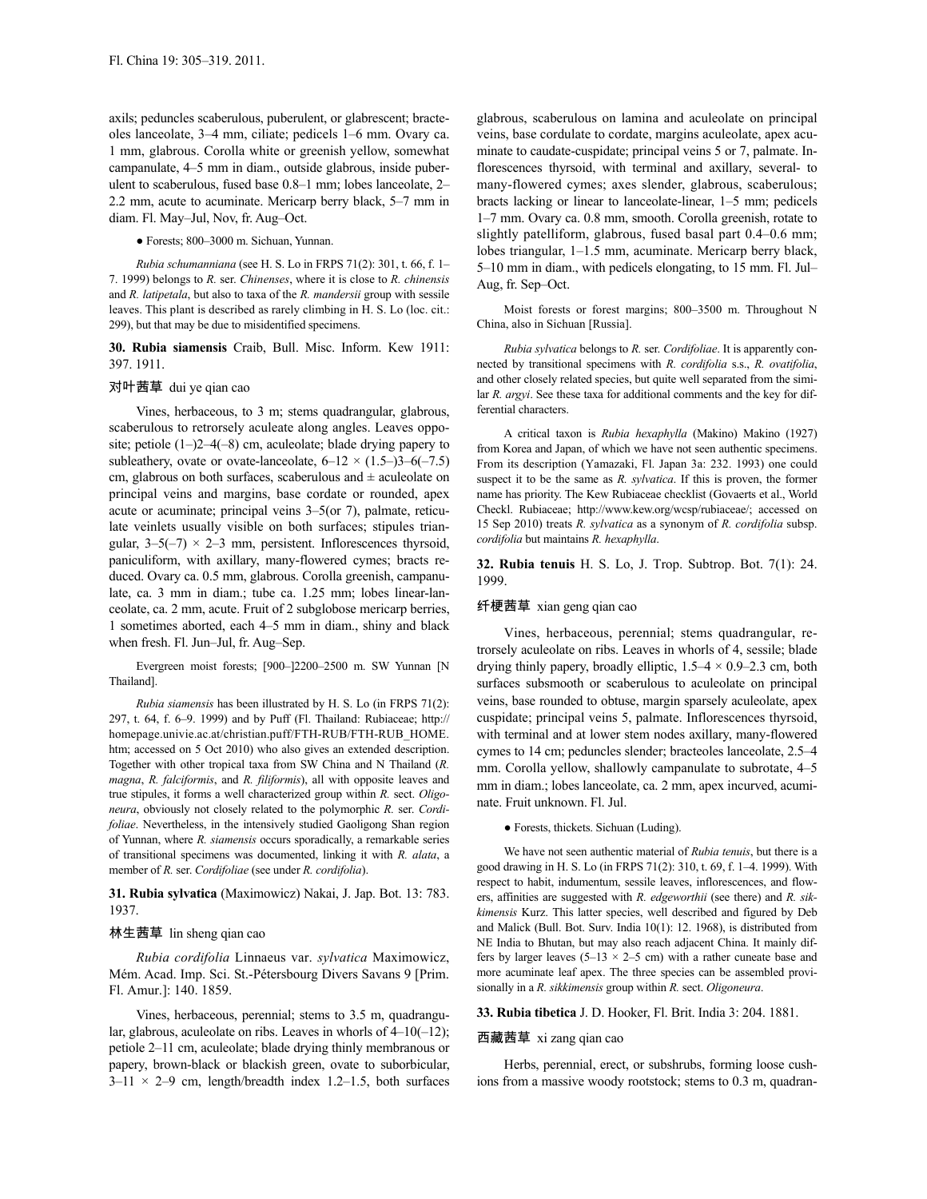axils; peduncles scaberulous, puberulent, or glabrescent; bracteoles lanceolate, 3–4 mm, ciliate; pedicels 1–6 mm. Ovary ca. 1 mm, glabrous. Corolla white or greenish yellow, somewhat campanulate, 4–5 mm in diam., outside glabrous, inside puberulent to scaberulous, fused base 0.8–1 mm; lobes lanceolate, 2– 2.2 mm, acute to acuminate. Mericarp berry black, 5–7 mm in diam. Fl. May–Jul, Nov, fr. Aug–Oct.

# ● Forests; 800–3000 m. Sichuan, Yunnan.

*Rubia schumanniana* (see H. S. Lo in FRPS 71(2): 301, t. 66, f. 1– 7. 1999) belongs to *R.* ser. *Chinenses*, where it is close to *R. chinensis* and *R. latipetala*, but also to taxa of the *R. mandersii* group with sessile leaves. This plant is described as rarely climbing in H. S. Lo (loc. cit.: 299), but that may be due to misidentified specimens.

# **30. Rubia siamensis** Craib, Bull. Misc. Inform. Kew 1911: 397. 1911.

#### 对叶茜草 dui ye qian cao

Vines, herbaceous, to 3 m; stems quadrangular, glabrous, scaberulous to retrorsely aculeate along angles. Leaves opposite; petiole  $(1-2-4(-8)$  cm, aculeolate; blade drying papery to subleathery, ovate or ovate-lanceolate,  $6-12 \times (1.5-3) - 6(-7.5)$ cm, glabrous on both surfaces, scaberulous and  $\pm$  aculeolate on principal veins and margins, base cordate or rounded, apex acute or acuminate; principal veins 3–5(or 7), palmate, reticulate veinlets usually visible on both surfaces; stipules triangular,  $3-5(-7) \times 2-3$  mm, persistent. Inflorescences thyrsoid, paniculiform, with axillary, many-flowered cymes; bracts reduced. Ovary ca. 0.5 mm, glabrous. Corolla greenish, campanulate, ca. 3 mm in diam.; tube ca. 1.25 mm; lobes linear-lanceolate, ca. 2 mm, acute. Fruit of 2 subglobose mericarp berries, 1 sometimes aborted, each 4–5 mm in diam., shiny and black when fresh. Fl. Jun–Jul, fr. Aug–Sep.

Evergreen moist forests; [900–]2200–2500 m. SW Yunnan [N Thailand].

*Rubia siamensis* has been illustrated by H. S. Lo (in FRPS 71(2): 297, t. 64, f. 6–9. 1999) and by Puff (Fl. Thailand: Rubiaceae; http:// homepage.univie.ac.at/christian.puff/FTH-RUB/FTH-RUB\_HOME. htm; accessed on 5 Oct 2010) who also gives an extended description. Together with other tropical taxa from SW China and N Thailand (*R. magna*, *R. falciformis*, and *R. filiformis*), all with opposite leaves and true stipules, it forms a well characterized group within *R.* sect. *Oligoneura*, obviously not closely related to the polymorphic *R.* ser. *Cordifoliae*. Nevertheless, in the intensively studied Gaoligong Shan region of Yunnan, where *R. siamensis* occurs sporadically, a remarkable series of transitional specimens was documented, linking it with *R. alata*, a member of *R.* ser. *Cordifoliae* (see under *R. cordifolia*).

**31. Rubia sylvatica** (Maximowicz) Nakai, J. Jap. Bot. 13: 783. 1937.

### 林生茜草 lin sheng qian cao

*Rubia cordifolia* Linnaeus var. *sylvatica* Maximowicz, Mém. Acad. Imp. Sci. St.-Pétersbourg Divers Savans 9 [Prim. Fl. Amur.]: 140. 1859.

Vines, herbaceous, perennial; stems to 3.5 m, quadrangular, glabrous, aculeolate on ribs. Leaves in whorls of  $4-10(-12)$ ; petiole 2–11 cm, aculeolate; blade drying thinly membranous or papery, brown-black or blackish green, ovate to suborbicular,  $3-11 \times 2-9$  cm, length/breadth index 1.2–1.5, both surfaces glabrous, scaberulous on lamina and aculeolate on principal veins, base cordulate to cordate, margins aculeolate, apex acuminate to caudate-cuspidate; principal veins 5 or 7, palmate. Inflorescences thyrsoid, with terminal and axillary, several- to many-flowered cymes; axes slender, glabrous, scaberulous; bracts lacking or linear to lanceolate-linear, 1–5 mm; pedicels 1–7 mm. Ovary ca. 0.8 mm, smooth. Corolla greenish, rotate to slightly patelliform, glabrous, fused basal part 0.4–0.6 mm; lobes triangular, 1–1.5 mm, acuminate. Mericarp berry black, 5–10 mm in diam., with pedicels elongating, to 15 mm. Fl. Jul– Aug, fr. Sep–Oct.

Moist forests or forest margins; 800–3500 m. Throughout N China, also in Sichuan [Russia].

*Rubia sylvatica* belongs to *R.* ser. *Cordifoliae*. It is apparently connected by transitional specimens with *R. cordifolia* s.s., *R. ovatifolia*, and other closely related species, but quite well separated from the similar *R. argyi*. See these taxa for additional comments and the key for differential characters.

A critical taxon is *Rubia hexaphylla* (Makino) Makino (1927) from Korea and Japan, of which we have not seen authentic specimens. From its description (Yamazaki, Fl. Japan 3a: 232. 1993) one could suspect it to be the same as *R. sylvatica*. If this is proven, the former name has priority. The Kew Rubiaceae checklist (Govaerts et al., World Checkl. Rubiaceae; http://www.kew.org/wcsp/rubiaceae/; accessed on 15 Sep 2010) treats *R. sylvatica* as a synonym of *R. cordifolia* subsp. *cordifolia* but maintains *R. hexaphylla*.

**32. Rubia tenuis** H. S. Lo, J. Trop. Subtrop. Bot. 7(1): 24. 1999.

### 纤梗茜草 xian geng qian cao

Vines, herbaceous, perennial; stems quadrangular, retrorsely aculeolate on ribs. Leaves in whorls of 4, sessile; blade drying thinly papery, broadly elliptic,  $1.5-4 \times 0.9-2.3$  cm, both surfaces subsmooth or scaberulous to aculeolate on principal veins, base rounded to obtuse, margin sparsely aculeolate, apex cuspidate; principal veins 5, palmate. Inflorescences thyrsoid, with terminal and at lower stem nodes axillary, many-flowered cymes to 14 cm; peduncles slender; bracteoles lanceolate, 2.5–4 mm. Corolla yellow, shallowly campanulate to subrotate, 4–5 mm in diam.; lobes lanceolate, ca. 2 mm, apex incurved, acuminate. Fruit unknown. Fl. Jul.

● Forests, thickets. Sichuan (Luding).

We have not seen authentic material of *Rubia tenuis*, but there is a good drawing in H. S. Lo (in FRPS 71(2): 310, t. 69, f. 1–4. 1999). With respect to habit, indumentum, sessile leaves, inflorescences, and flowers, affinities are suggested with *R. edgeworthii* (see there) and *R. sikkimensis* Kurz. This latter species, well described and figured by Deb and Malick (Bull. Bot. Surv. India 10(1): 12. 1968), is distributed from NE India to Bhutan, but may also reach adjacent China. It mainly differs by larger leaves (5–13  $\times$  2–5 cm) with a rather cuneate base and more acuminate leaf apex. The three species can be assembled provisionally in a *R. sikkimensis* group within *R.* sect. *Oligoneura*.

### **33. Rubia tibetica** J. D. Hooker, Fl. Brit. India 3: 204. 1881.

### 西藏茜草 xi zang qian cao

Herbs, perennial, erect, or subshrubs, forming loose cushions from a massive woody rootstock; stems to 0.3 m, quadran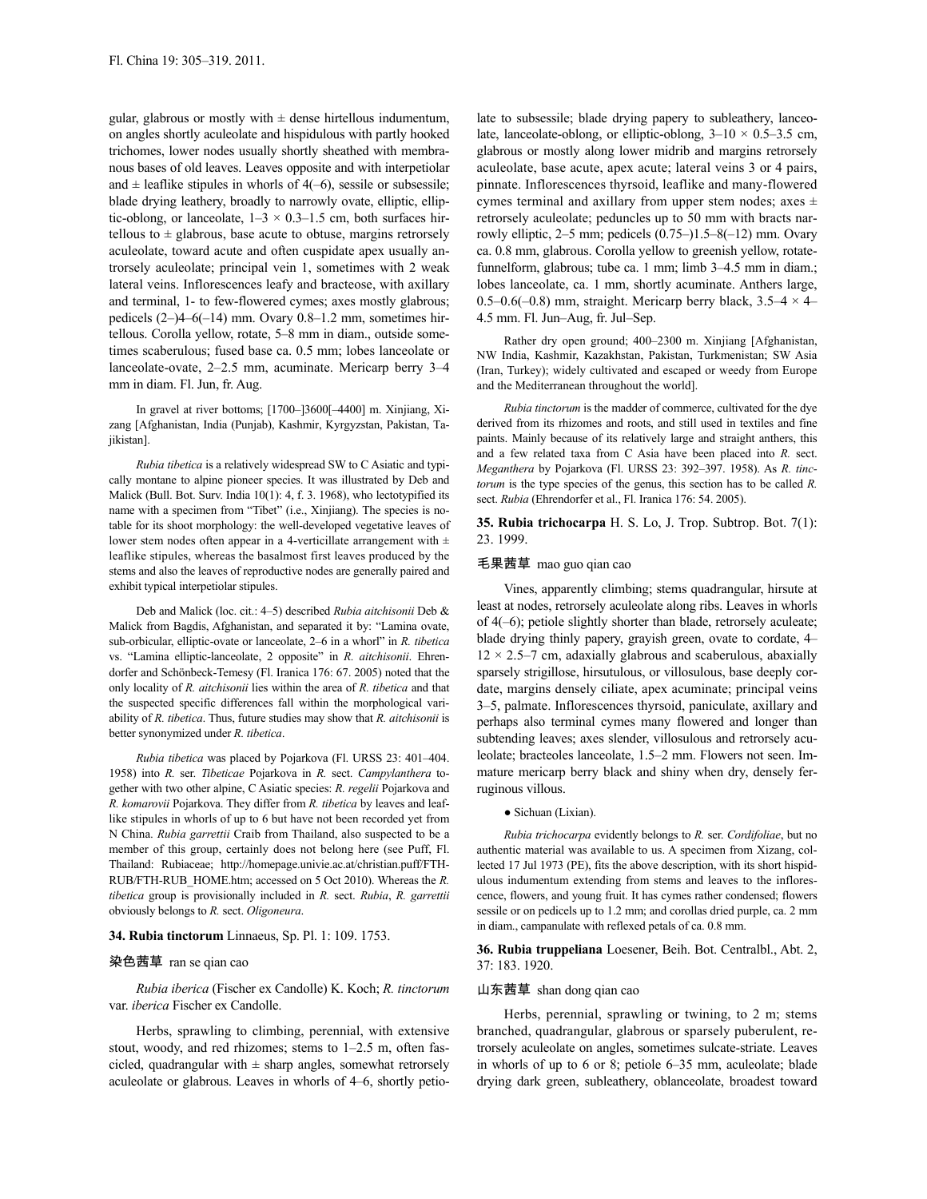gular, glabrous or mostly with  $\pm$  dense hirtellous indumentum, on angles shortly aculeolate and hispidulous with partly hooked trichomes, lower nodes usually shortly sheathed with membranous bases of old leaves. Leaves opposite and with interpetiolar and  $\pm$  leaflike stipules in whorls of 4(–6), sessile or subsessile; blade drying leathery, broadly to narrowly ovate, elliptic, elliptic-oblong, or lanceolate,  $1-3 \times 0.3-1.5$  cm, both surfaces hirtellous to  $\pm$  glabrous, base acute to obtuse, margins retrorsely aculeolate, toward acute and often cuspidate apex usually antrorsely aculeolate; principal vein 1, sometimes with 2 weak lateral veins. Inflorescences leafy and bracteose, with axillary and terminal, 1- to few-flowered cymes; axes mostly glabrous; pedicels (2–)4–6(–14) mm. Ovary 0.8–1.2 mm, sometimes hirtellous. Corolla yellow, rotate, 5–8 mm in diam., outside sometimes scaberulous; fused base ca. 0.5 mm; lobes lanceolate or lanceolate-ovate, 2–2.5 mm, acuminate. Mericarp berry 3–4 mm in diam. Fl. Jun, fr. Aug.

In gravel at river bottoms; [1700–]3600[–4400] m. Xinjiang, Xizang [Afghanistan, India (Punjab), Kashmir, Kyrgyzstan, Pakistan, Tajikistan].

*Rubia tibetica* is a relatively widespread SW to C Asiatic and typically montane to alpine pioneer species. It was illustrated by Deb and Malick (Bull. Bot. Surv. India 10(1): 4, f. 3. 1968), who lectotypified its name with a specimen from "Tibet" (i.e., Xinjiang). The species is notable for its shoot morphology: the well-developed vegetative leaves of lower stem nodes often appear in a 4-verticillate arrangement with ± leaflike stipules, whereas the basalmost first leaves produced by the stems and also the leaves of reproductive nodes are generally paired and exhibit typical interpetiolar stipules.

Deb and Malick (loc. cit.: 4–5) described *Rubia aitchisonii* Deb & Malick from Bagdis, Afghanistan, and separated it by: "Lamina ovate, sub-orbicular, elliptic-ovate or lanceolate, 2–6 in a whorl" in *R. tibetica* vs. "Lamina elliptic-lanceolate, 2 opposite" in *R. aitchisonii*. Ehrendorfer and Schönbeck-Temesy (Fl. Iranica 176: 67. 2005) noted that the only locality of *R. aitchisonii* lies within the area of *R. tibetica* and that the suspected specific differences fall within the morphological variability of *R. tibetica*. Thus, future studies may show that *R. aitchisonii* is better synonymized under *R. tibetica*.

*Rubia tibetica* was placed by Pojarkova (Fl. URSS 23: 401–404. 1958) into *R.* ser. *Tibeticae* Pojarkova in *R.* sect. *Campylanthera* together with two other alpine, C Asiatic species: *R. regelii* Pojarkova and *R. komarovii* Pojarkova. They differ from *R. tibetica* by leaves and leaflike stipules in whorls of up to 6 but have not been recorded yet from N China. *Rubia garrettii* Craib from Thailand, also suspected to be a member of this group, certainly does not belong here (see Puff, Fl. Thailand: Rubiaceae; http://homepage.univie.ac.at/christian.puff/FTH-RUB/FTH-RUB\_HOME.htm; accessed on 5 Oct 2010). Whereas the *R. tibetica* group is provisionally included in *R.* sect. *Rubia*, *R. garrettii* obviously belongs to *R.* sect. *Oligoneura*.

#### **34. Rubia tinctorum** Linnaeus, Sp. Pl. 1: 109. 1753.

#### 染色茜草 ran se qian cao

*Rubia iberica* (Fischer ex Candolle) K. Koch; *R. tinctorum* var. *iberica* Fischer ex Candolle.

Herbs, sprawling to climbing, perennial, with extensive stout, woody, and red rhizomes; stems to 1–2.5 m, often fascicled, quadrangular with  $\pm$  sharp angles, somewhat retrorsely aculeolate or glabrous. Leaves in whorls of 4–6, shortly petiolate to subsessile; blade drying papery to subleathery, lanceolate, lanceolate-oblong, or elliptic-oblong,  $3-10 \times 0.5-3.5$  cm, glabrous or mostly along lower midrib and margins retrorsely aculeolate, base acute, apex acute; lateral veins 3 or 4 pairs, pinnate. Inflorescences thyrsoid, leaflike and many-flowered cymes terminal and axillary from upper stem nodes; axes  $\pm$ retrorsely aculeolate; peduncles up to 50 mm with bracts narrowly elliptic, 2–5 mm; pedicels (0.75–)1.5–8(–12) mm. Ovary ca. 0.8 mm, glabrous. Corolla yellow to greenish yellow, rotatefunnelform, glabrous; tube ca. 1 mm; limb 3–4.5 mm in diam.; lobes lanceolate, ca. 1 mm, shortly acuminate. Anthers large, 0.5–0.6(–0.8) mm, straight. Mericarp berry black,  $3.5-4 \times 4$ – 4.5 mm. Fl. Jun–Aug, fr. Jul–Sep.

Rather dry open ground; 400–2300 m. Xinjiang [Afghanistan, NW India, Kashmir, Kazakhstan, Pakistan, Turkmenistan; SW Asia (Iran, Turkey); widely cultivated and escaped or weedy from Europe and the Mediterranean throughout the world].

*Rubia tinctorum* is the madder of commerce, cultivated for the dye derived from its rhizomes and roots, and still used in textiles and fine paints. Mainly because of its relatively large and straight anthers, this and a few related taxa from C Asia have been placed into *R.* sect. *Meganthera* by Pojarkova (Fl. URSS 23: 392–397. 1958). As *R. tinctorum* is the type species of the genus, this section has to be called *R.* sect. *Rubia* (Ehrendorfer et al., Fl. Iranica 176: 54. 2005).

**35. Rubia trichocarpa** H. S. Lo, J. Trop. Subtrop. Bot. 7(1): 23. 1999.

### 毛果茜草 mao guo qian cao

Vines, apparently climbing; stems quadrangular, hirsute at least at nodes, retrorsely aculeolate along ribs. Leaves in whorls of 4(–6); petiole slightly shorter than blade, retrorsely aculeate; blade drying thinly papery, grayish green, ovate to cordate, 4–  $12 \times 2.5 - 7$  cm, adaxially glabrous and scaberulous, abaxially sparsely strigillose, hirsutulous, or villosulous, base deeply cordate, margins densely ciliate, apex acuminate; principal veins 3–5, palmate. Inflorescences thyrsoid, paniculate, axillary and perhaps also terminal cymes many flowered and longer than subtending leaves; axes slender, villosulous and retrorsely aculeolate; bracteoles lanceolate, 1.5–2 mm. Flowers not seen. Immature mericarp berry black and shiny when dry, densely ferruginous villous.

● Sichuan (Lixian).

*Rubia trichocarpa* evidently belongs to *R.* ser. *Cordifoliae*, but no authentic material was available to us. A specimen from Xizang, collected 17 Jul 1973 (PE), fits the above description, with its short hispidulous indumentum extending from stems and leaves to the inflorescence, flowers, and young fruit. It has cymes rather condensed; flowers sessile or on pedicels up to 1.2 mm; and corollas dried purple, ca. 2 mm in diam., campanulate with reflexed petals of ca. 0.8 mm.

**36. Rubia truppeliana** Loesener, Beih. Bot. Centralbl., Abt. 2, 37: 183. 1920.

#### 山东茜草 shan dong qian cao

Herbs, perennial, sprawling or twining, to 2 m; stems branched, quadrangular, glabrous or sparsely puberulent, retrorsely aculeolate on angles, sometimes sulcate-striate. Leaves in whorls of up to 6 or 8; petiole 6–35 mm, aculeolate; blade drying dark green, subleathery, oblanceolate, broadest toward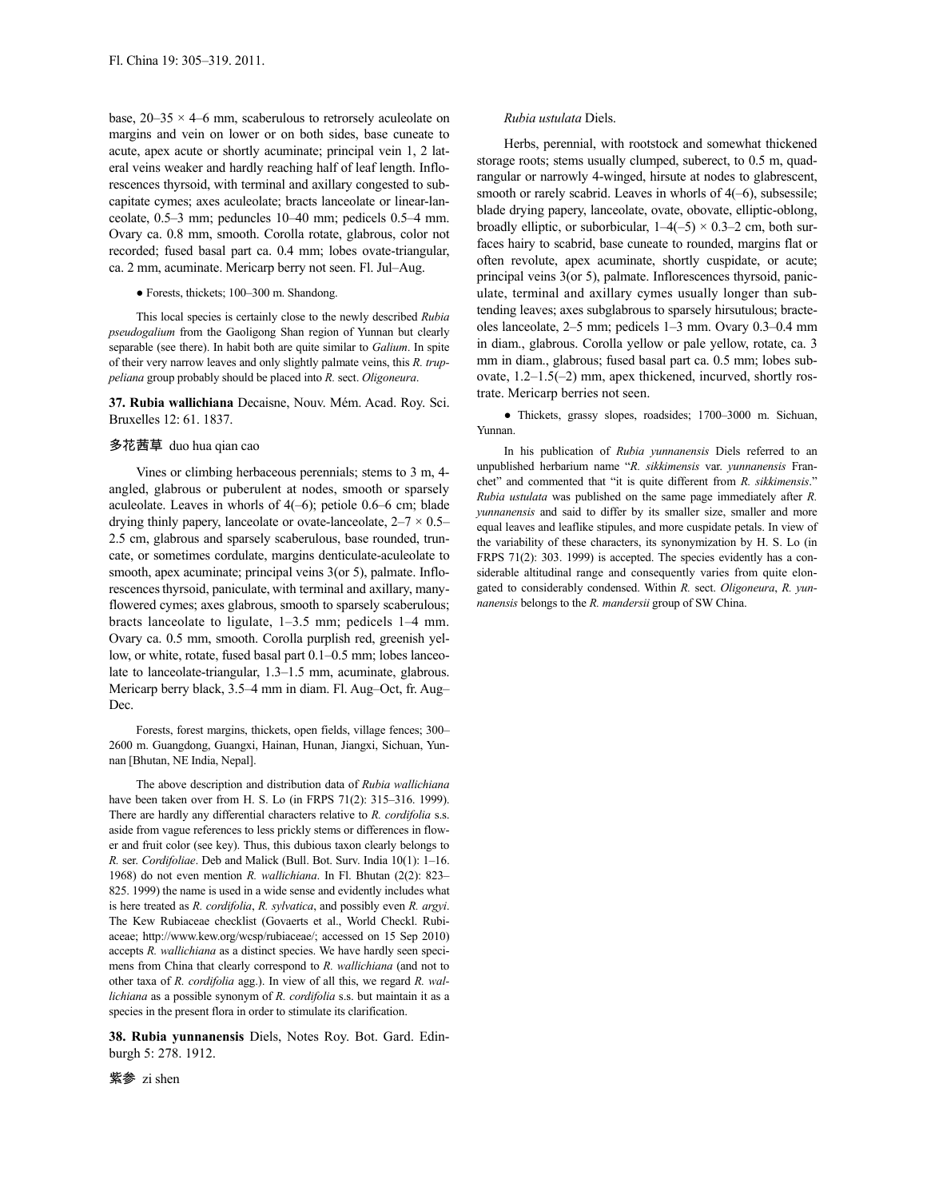base,  $20-35 \times 4-6$  mm, scaberulous to retrorsely aculeolate on margins and vein on lower or on both sides, base cuneate to acute, apex acute or shortly acuminate; principal vein 1, 2 lateral veins weaker and hardly reaching half of leaf length. Inflorescences thyrsoid, with terminal and axillary congested to subcapitate cymes; axes aculeolate; bracts lanceolate or linear-lanceolate, 0.5–3 mm; peduncles 10–40 mm; pedicels 0.5–4 mm. Ovary ca. 0.8 mm, smooth. Corolla rotate, glabrous, color not recorded; fused basal part ca. 0.4 mm; lobes ovate-triangular, ca. 2 mm, acuminate. Mericarp berry not seen. Fl. Jul–Aug.

# ● Forests, thickets; 100–300 m. Shandong.

This local species is certainly close to the newly described *Rubia pseudogalium* from the Gaoligong Shan region of Yunnan but clearly separable (see there). In habit both are quite similar to *Galium*. In spite of their very narrow leaves and only slightly palmate veins, this *R. truppeliana* group probably should be placed into *R.* sect. *Oligoneura*.

**37. Rubia wallichiana** Decaisne, Nouv. Mém. Acad. Roy. Sci. Bruxelles 12: 61. 1837.

### 多花茜草 duo hua qian cao

Vines or climbing herbaceous perennials; stems to 3 m, 4 angled, glabrous or puberulent at nodes, smooth or sparsely aculeolate. Leaves in whorls of  $4(-6)$ ; petiole 0.6–6 cm; blade drying thinly papery, lanceolate or ovate-lanceolate,  $2-7 \times 0.5-$ 2.5 cm, glabrous and sparsely scaberulous, base rounded, truncate, or sometimes cordulate, margins denticulate-aculeolate to smooth, apex acuminate; principal veins 3(or 5), palmate. Inflorescencesthyrsoid, paniculate, with terminal and axillary, manyflowered cymes; axes glabrous, smooth to sparsely scaberulous; bracts lanceolate to ligulate, 1–3.5 mm; pedicels 1–4 mm. Ovary ca. 0.5 mm, smooth. Corolla purplish red, greenish yellow, or white, rotate, fused basal part 0.1–0.5 mm; lobes lanceolate to lanceolate-triangular, 1.3–1.5 mm, acuminate, glabrous. Mericarp berry black, 3.5–4 mm in diam. Fl. Aug–Oct, fr. Aug– Dec.

Forests, forest margins, thickets, open fields, village fences; 300– 2600 m. Guangdong, Guangxi, Hainan, Hunan, Jiangxi, Sichuan, Yunnan [Bhutan, NE India, Nepal].

The above description and distribution data of *Rubia wallichiana* have been taken over from H. S. Lo (in FRPS 71(2): 315–316. 1999). There are hardly any differential characters relative to *R. cordifolia* s.s. aside from vague references to less prickly stems or differences in flower and fruit color (see key). Thus, this dubious taxon clearly belongs to *R.* ser. *Cordifoliae*. Deb and Malick (Bull. Bot. Surv. India 10(1): 1–16. 1968) do not even mention *R. wallichiana*. In Fl. Bhutan (2(2): 823– 825. 1999) the name is used in a wide sense and evidently includes what is here treated as *R. cordifolia*, *R. sylvatica*, and possibly even *R. argyi*. The Kew Rubiaceae checklist (Govaerts et al., World Checkl. Rubiaceae; http://www.kew.org/wcsp/rubiaceae/; accessed on 15 Sep 2010) accepts *R. wallichiana* as a distinct species. We have hardly seen specimens from China that clearly correspond to *R. wallichiana* (and not to other taxa of *R. cordifolia* agg.). In view of all this, we regard *R. wallichiana* as a possible synonym of *R. cordifolia* s.s. but maintain it as a species in the present flora in order to stimulate its clarification.

**38. Rubia yunnanensis** Diels, Notes Roy. Bot. Gard. Edinburgh 5: 278. 1912.

### *Rubia ustulata* Diels.

Herbs, perennial, with rootstock and somewhat thickened storage roots; stems usually clumped, suberect, to 0.5 m, quadrangular or narrowly 4-winged, hirsute at nodes to glabrescent, smooth or rarely scabrid. Leaves in whorls of  $4(-6)$ , subsessile; blade drying papery, lanceolate, ovate, obovate, elliptic-oblong, broadly elliptic, or suborbicular,  $1-4(-5) \times 0.3-2$  cm, both surfaces hairy to scabrid, base cuneate to rounded, margins flat or often revolute, apex acuminate, shortly cuspidate, or acute; principal veins 3(or 5), palmate. Inflorescences thyrsoid, paniculate, terminal and axillary cymes usually longer than subtending leaves; axes subglabrous to sparsely hirsutulous; bracteoles lanceolate, 2–5 mm; pedicels 1–3 mm. Ovary 0.3–0.4 mm in diam., glabrous. Corolla yellow or pale yellow, rotate, ca. 3 mm in diam., glabrous; fused basal part ca. 0.5 mm; lobes subovate, 1.2–1.5(–2) mm, apex thickened, incurved, shortly rostrate. Mericarp berries not seen.

● Thickets, grassy slopes, roadsides; 1700–3000 m. Sichuan, Yunnan.

In his publication of *Rubia yunnanensis* Diels referred to an unpublished herbarium name "*R. sikkimensis* var. *yunnanensis* Franchet" and commented that "it is quite different from *R. sikkimensis*." *Rubia ustulata* was published on the same page immediately after *R. yunnanensis* and said to differ by its smaller size, smaller and more equal leaves and leaflike stipules, and more cuspidate petals. In view of the variability of these characters, its synonymization by H. S. Lo (in FRPS 71(2): 303. 1999) is accepted. The species evidently has a considerable altitudinal range and consequently varies from quite elongated to considerably condensed. Within *R.* sect. *Oligoneura*, *R. yunnanensis* belongs to the *R. mandersii* group of SW China.

紫参 zi shen